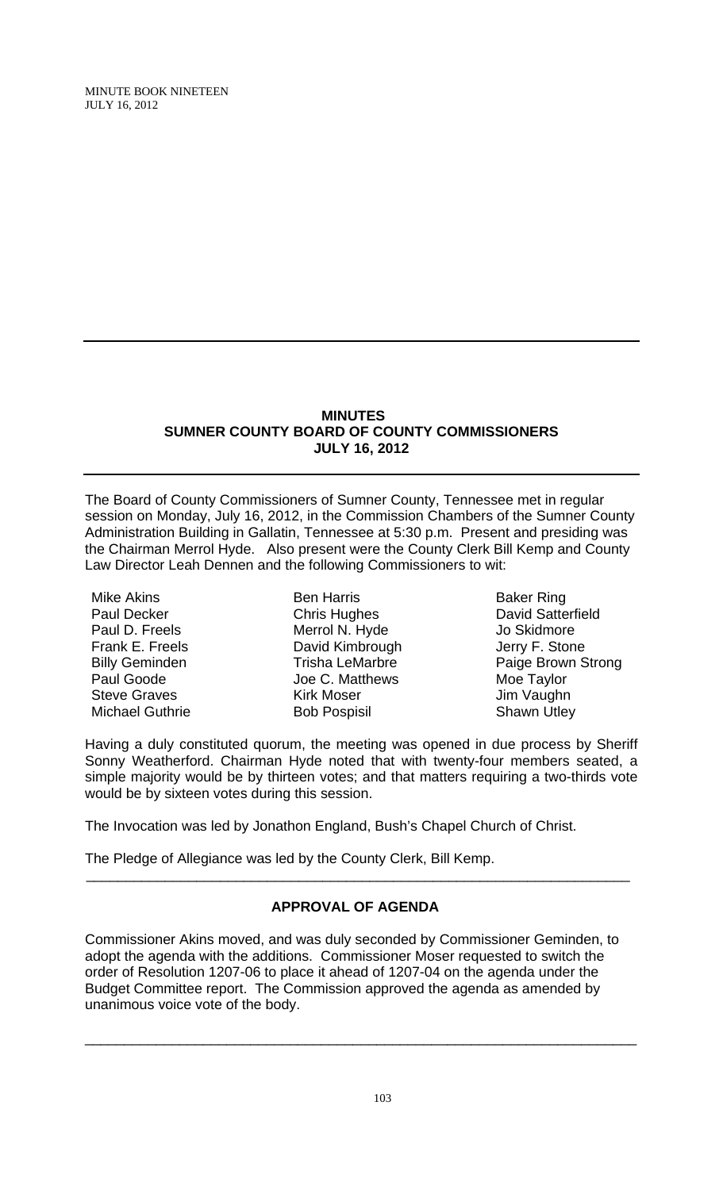#### **MINUTES SUMNER COUNTY BOARD OF COUNTY COMMISSIONERS JULY 16, 2012**

The Board of County Commissioners of Sumner County, Tennessee met in regular session on Monday, July 16, 2012, in the Commission Chambers of the Sumner County Administration Building in Gallatin, Tennessee at 5:30 p.m. Present and presiding was the Chairman Merrol Hyde. Also present were the County Clerk Bill Kemp and County Law Director Leah Dennen and the following Commissioners to wit:

Mike Akins Paul Decker Paul D. Freels Frank E. Freels Billy Geminden Paul Goode Steve Graves Michael Guthrie

Ben Harris Chris Hughes Merrol N. Hyde David Kimbrough Trisha LeMarbre Joe C. Matthews Kirk Moser Bob Pospisil

Baker Ring David Satterfield Jo Skidmore Jerry F. Stone Paige Brown Strong Moe Taylor Jim Vaughn Shawn Utley

Having a duly constituted quorum, the meeting was opened in due process by Sheriff Sonny Weatherford. Chairman Hyde noted that with twenty-four members seated, a simple majority would be by thirteen votes; and that matters requiring a two-thirds vote would be by sixteen votes during this session.

The Invocation was led by Jonathon England, Bush's Chapel Church of Christ.

The Pledge of Allegiance was led by the County Clerk, Bill Kemp.

# **APPROVAL OF AGENDA**

 $\overline{\phantom{a}}$  , and the contribution of the contribution of the contribution of the contribution of the contribution of the contribution of the contribution of the contribution of the contribution of the contribution of the

Commissioner Akins moved, and was duly seconded by Commissioner Geminden, to adopt the agenda with the additions. Commissioner Moser requested to switch the order of Resolution 1207-06 to place it ahead of 1207-04 on the agenda under the Budget Committee report. The Commission approved the agenda as amended by unanimous voice vote of the body.

\_\_\_\_\_\_\_\_\_\_\_\_\_\_\_\_\_\_\_\_\_\_\_\_\_\_\_\_\_\_\_\_\_\_\_\_\_\_\_\_\_\_\_\_\_\_\_\_\_\_\_\_\_\_\_\_\_\_\_\_\_\_\_\_\_\_\_\_\_\_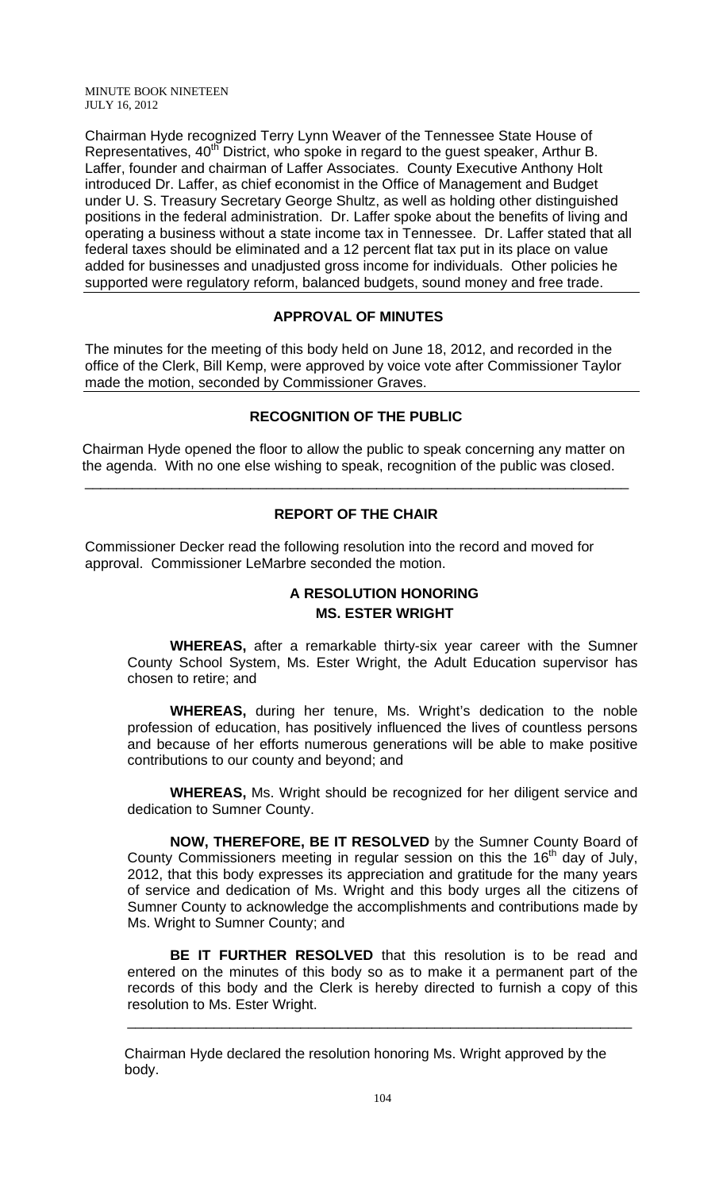Chairman Hyde recognized Terry Lynn Weaver of the Tennessee State House of Representatives, 40<sup>th</sup> District, who spoke in regard to the guest speaker, Arthur B. Laffer, founder and chairman of Laffer Associates. County Executive Anthony Holt introduced Dr. Laffer, as chief economist in the Office of Management and Budget under U. S. Treasury Secretary George Shultz, as well as holding other distinguished positions in the federal administration. Dr. Laffer spoke about the benefits of living and operating a business without a state income tax in Tennessee. Dr. Laffer stated that all federal taxes should be eliminated and a 12 percent flat tax put in its place on value added for businesses and unadjusted gross income for individuals. Other policies he supported were regulatory reform, balanced budgets, sound money and free trade.

## **APPROVAL OF MINUTES**

The minutes for the meeting of this body held on June 18, 2012, and recorded in the office of the Clerk, Bill Kemp, were approved by voice vote after Commissioner Taylor made the motion, seconded by Commissioner Graves.

## **RECOGNITION OF THE PUBLIC**

 Chairman Hyde opened the floor to allow the public to speak concerning any matter on the agenda. With no one else wishing to speak, recognition of the public was closed.

\_\_\_\_\_\_\_\_\_\_\_\_\_\_\_\_\_\_\_\_\_\_\_\_\_\_\_\_\_\_\_\_\_\_\_\_\_\_\_\_\_\_\_\_\_\_\_\_\_\_\_\_\_\_\_\_\_\_\_\_\_\_\_\_\_\_\_\_\_

## **REPORT OF THE CHAIR**

Commissioner Decker read the following resolution into the record and moved for approval. Commissioner LeMarbre seconded the motion.

## **A RESOLUTION HONORING MS. ESTER WRIGHT**

**WHEREAS,** after a remarkable thirty-six year career with the Sumner County School System, Ms. Ester Wright, the Adult Education supervisor has chosen to retire; and

**WHEREAS,** during her tenure, Ms. Wright's dedication to the noble profession of education, has positively influenced the lives of countless persons and because of her efforts numerous generations will be able to make positive contributions to our county and beyond; and

**WHEREAS,** Ms. Wright should be recognized for her diligent service and dedication to Sumner County.

**NOW, THEREFORE, BE IT RESOLVED** by the Sumner County Board of County Commissioners meeting in regular session on this the  $16<sup>th</sup>$  day of July, 2012, that this body expresses its appreciation and gratitude for the many years of service and dedication of Ms. Wright and this body urges all the citizens of Sumner County to acknowledge the accomplishments and contributions made by Ms. Wright to Sumner County; and

**BE IT FURTHER RESOLVED** that this resolution is to be read and entered on the minutes of this body so as to make it a permanent part of the records of this body and the Clerk is hereby directed to furnish a copy of this resolution to Ms. Ester Wright.

\_\_\_\_\_\_\_\_\_\_\_\_\_\_\_\_\_\_\_\_\_\_\_\_\_\_\_\_\_\_\_\_\_\_\_\_\_\_\_\_\_\_\_\_\_\_\_\_\_\_\_\_\_\_\_\_\_\_\_\_\_\_\_\_

 Chairman Hyde declared the resolution honoring Ms. Wright approved by the body.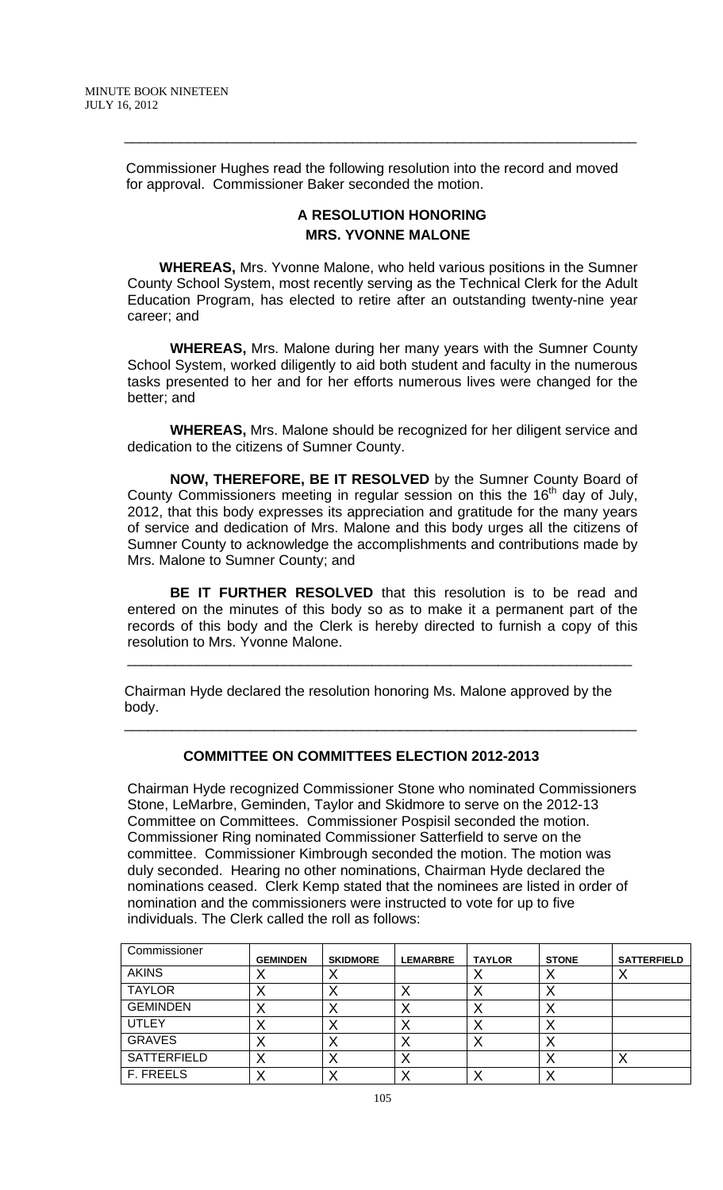Commissioner Hughes read the following resolution into the record and moved for approval. Commissioner Baker seconded the motion.

 $\overline{\phantom{a}}$  , and the contribution of the contribution of the contribution of the contribution of the contribution of  $\overline{\phantom{a}}$ 

## **A RESOLUTION HONORING MRS. YVONNE MALONE**

**WHEREAS,** Mrs. Yvonne Malone, who held various positions in the Sumner County School System, most recently serving as the Technical Clerk for the Adult Education Program, has elected to retire after an outstanding twenty-nine year career; and

**WHEREAS,** Mrs. Malone during her many years with the Sumner County School System, worked diligently to aid both student and faculty in the numerous tasks presented to her and for her efforts numerous lives were changed for the better; and

**WHEREAS,** Mrs. Malone should be recognized for her diligent service and dedication to the citizens of Sumner County.

**NOW, THEREFORE, BE IT RESOLVED** by the Sumner County Board of County Commissioners meeting in regular session on this the  $16<sup>th</sup>$  day of July, 2012, that this body expresses its appreciation and gratitude for the many years of service and dedication of Mrs. Malone and this body urges all the citizens of Sumner County to acknowledge the accomplishments and contributions made by Mrs. Malone to Sumner County; and

**BE IT FURTHER RESOLVED** that this resolution is to be read and entered on the minutes of this body so as to make it a permanent part of the records of this body and the Clerk is hereby directed to furnish a copy of this resolution to Mrs. Yvonne Malone.

\_\_\_\_\_\_\_\_\_\_\_\_\_\_\_\_\_\_\_\_\_\_\_\_\_\_\_\_\_\_\_\_\_\_\_\_\_\_\_\_\_\_\_\_\_\_\_\_\_\_\_\_\_\_\_\_\_\_\_\_\_\_\_\_

 Chairman Hyde declared the resolution honoring Ms. Malone approved by the body.

## **COMMITTEE ON COMMITTEES ELECTION 2012-2013**

 $\overline{\phantom{a}}$  , and the contribution of the contribution of the contribution of the contribution of the contribution of  $\overline{\phantom{a}}$ 

Chairman Hyde recognized Commissioner Stone who nominated Commissioners Stone, LeMarbre, Geminden, Taylor and Skidmore to serve on the 2012-13 Committee on Committees. Commissioner Pospisil seconded the motion. Commissioner Ring nominated Commissioner Satterfield to serve on the committee. Commissioner Kimbrough seconded the motion. The motion was duly seconded. Hearing no other nominations, Chairman Hyde declared the nominations ceased. Clerk Kemp stated that the nominees are listed in order of nomination and the commissioners were instructed to vote for up to five individuals. The Clerk called the roll as follows:

| Commissioner    | <b>GEMINDEN</b> | <b>SKIDMORE</b> | <b>LEMARBRE</b> | <b>TAYLOR</b> | <b>STONE</b> | <b>SATTERFIELD</b> |
|-----------------|-----------------|-----------------|-----------------|---------------|--------------|--------------------|
| <b>AKINS</b>    | 71              | $\lambda$       |                 |               | ↗            | $\lambda$          |
| <b>TAYLOR</b>   |                 |                 |                 |               | ↗            |                    |
| <b>GEMINDEN</b> | ↗               | $\lambda$       | $\lambda$       | $\lambda$     | ∧            |                    |
| <b>UTLEY</b>    | ↗               |                 | $\lambda$       |               | ↗            |                    |
| <b>GRAVES</b>   | Λ               |                 | ⌒               |               | ∧            |                    |
| SATTERFIELD     | 71              | $\lambda$       | $\lambda$       |               | ⌒            | $\lambda$          |
| F. FREELS       |                 |                 |                 |               |              |                    |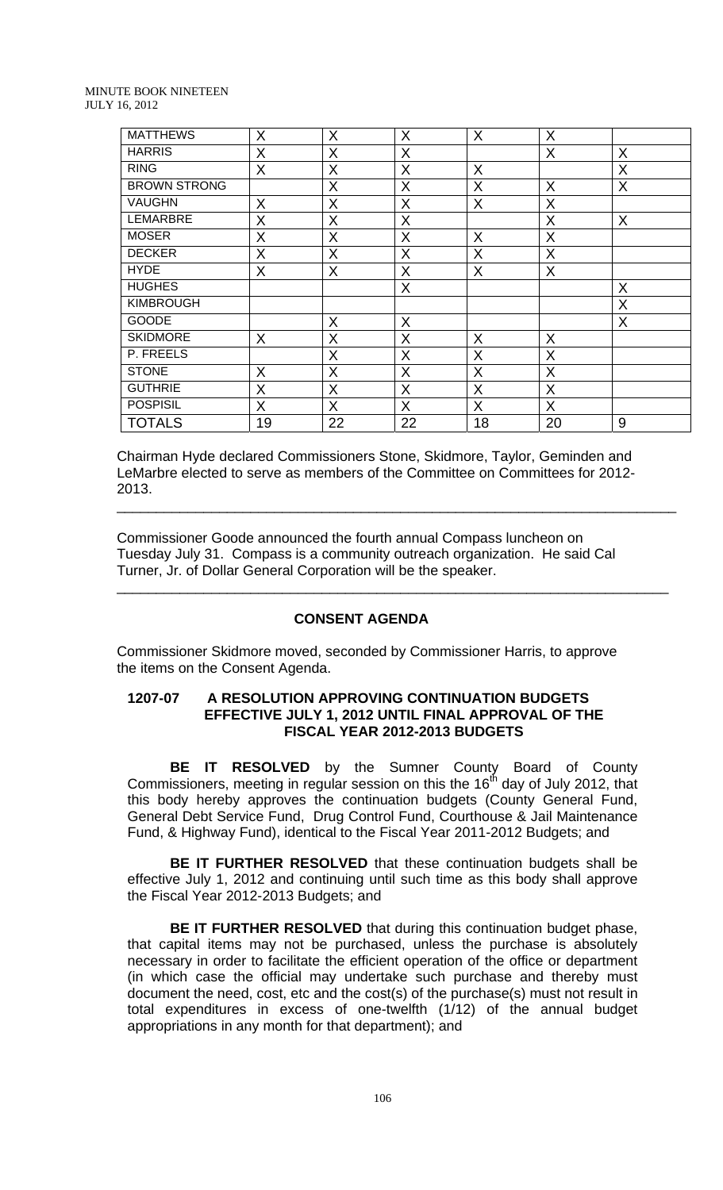| <b>MATTHEWS</b>     | X  | X  | X  | X  | X       |   |
|---------------------|----|----|----|----|---------|---|
| <b>HARRIS</b>       | X  | X  | X  |    | X       | X |
| <b>RING</b>         | X  | X  | X  | X  |         | X |
| <b>BROWN STRONG</b> |    | X  | X  | X  | X       | X |
| <b>VAUGHN</b>       | X  | X  | X  | X  | X       |   |
| <b>LEMARBRE</b>     | Χ  | X  | X  |    | X       | X |
| <b>MOSER</b>        | X  | X  | X  | X  | X       |   |
| <b>DECKER</b>       | X  | X  | X  | X  | X       |   |
| <b>HYDE</b>         | X  | X  | X  | X  | X       |   |
| <b>HUGHES</b>       |    |    | X  |    |         | X |
| <b>KIMBROUGH</b>    |    |    |    |    |         | X |
| <b>GOODE</b>        |    | X  | X  |    |         | X |
| <b>SKIDMORE</b>     | X  | X  | X  | X  | X       |   |
| P. FREELS           |    | X  | X  | X  | X       |   |
| <b>STONE</b>        | X  | X  | X  | X  | $\sf X$ |   |
| <b>GUTHRIE</b>      | X  | X  | X  | X  | X       |   |
| <b>POSPISIL</b>     | X  | X  | X  | X  | X       |   |
| <b>TOTALS</b>       | 19 | 22 | 22 | 18 | 20      | 9 |

Chairman Hyde declared Commissioners Stone, Skidmore, Taylor, Geminden and LeMarbre elected to serve as members of the Committee on Committees for 2012- 2013.

\_\_\_\_\_\_\_\_\_\_\_\_\_\_\_\_\_\_\_\_\_\_\_\_\_\_\_\_\_\_\_\_\_\_\_\_\_\_\_\_\_\_\_\_\_\_\_\_\_\_\_\_\_\_\_\_\_\_\_\_\_\_\_\_\_\_\_\_\_\_\_

\_\_\_\_\_\_\_\_\_\_\_\_\_\_\_\_\_\_\_\_\_\_\_\_\_\_\_\_\_\_\_\_\_\_\_\_\_\_\_\_\_\_\_\_\_\_\_\_\_\_\_\_\_\_\_\_\_\_\_\_\_\_\_\_\_\_\_\_\_\_

Commissioner Goode announced the fourth annual Compass luncheon on Tuesday July 31. Compass is a community outreach organization. He said Cal Turner, Jr. of Dollar General Corporation will be the speaker.

#### **CONSENT AGENDA**

Commissioner Skidmore moved, seconded by Commissioner Harris, to approve the items on the Consent Agenda.

#### **1207-07 A RESOLUTION APPROVING CONTINUATION BUDGETS EFFECTIVE JULY 1, 2012 UNTIL FINAL APPROVAL OF THE FISCAL YEAR 2012-2013 BUDGETS**

**BE IT RESOLVED** by the Sumner County Board of County Commissioners, meeting in regular session on this the  $16<sup>th</sup>$  day of July 2012, that this body hereby approves the continuation budgets (County General Fund, General Debt Service Fund, Drug Control Fund, Courthouse & Jail Maintenance Fund, & Highway Fund), identical to the Fiscal Year 2011-2012 Budgets; and

**BE IT FURTHER RESOLVED** that these continuation budgets shall be effective July 1, 2012 and continuing until such time as this body shall approve the Fiscal Year 2012-2013 Budgets; and

**BE IT FURTHER RESOLVED** that during this continuation budget phase, that capital items may not be purchased, unless the purchase is absolutely necessary in order to facilitate the efficient operation of the office or department (in which case the official may undertake such purchase and thereby must document the need, cost, etc and the cost(s) of the purchase(s) must not result in total expenditures in excess of one-twelfth (1/12) of the annual budget appropriations in any month for that department); and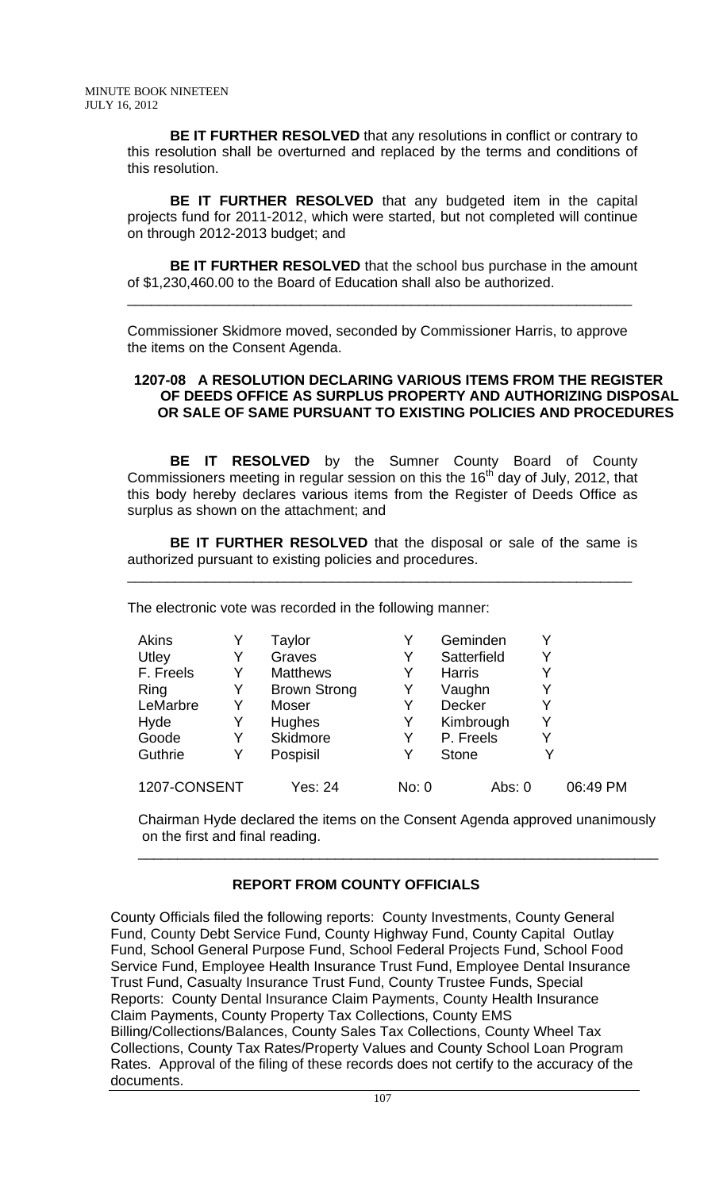**BE IT FURTHER RESOLVED** that any resolutions in conflict or contrary to this resolution shall be overturned and replaced by the terms and conditions of this resolution.

**BE IT FURTHER RESOLVED** that any budgeted item in the capital projects fund for 2011-2012, which were started, but not completed will continue on through 2012-2013 budget; and

**BE IT FURTHER RESOLVED** that the school bus purchase in the amount of \$1,230,460.00 to the Board of Education shall also be authorized.

\_\_\_\_\_\_\_\_\_\_\_\_\_\_\_\_\_\_\_\_\_\_\_\_\_\_\_\_\_\_\_\_\_\_\_\_\_\_\_\_\_\_\_\_\_\_\_\_\_\_\_\_\_\_\_\_\_\_\_\_\_\_\_\_

Commissioner Skidmore moved, seconded by Commissioner Harris, to approve the items on the Consent Agenda.

#### **1207-08 A RESOLUTION DECLARING VARIOUS ITEMS FROM THE REGISTER OF DEEDS OFFICE AS SURPLUS PROPERTY AND AUTHORIZING DISPOSAL OR SALE OF SAME PURSUANT TO EXISTING POLICIES AND PROCEDURES**

**BE IT RESOLVED** by the Sumner County Board of County Commissioners meeting in regular session on this the  $16<sup>th</sup>$  day of July, 2012, that this body hereby declares various items from the Register of Deeds Office as surplus as shown on the attachment; and

**BE IT FURTHER RESOLVED** that the disposal or sale of the same is authorized pursuant to existing policies and procedures.

\_\_\_\_\_\_\_\_\_\_\_\_\_\_\_\_\_\_\_\_\_\_\_\_\_\_\_\_\_\_\_\_\_\_\_\_\_\_\_\_\_\_\_\_\_\_\_\_\_\_\_\_\_\_\_\_\_\_\_\_\_\_\_\_

The electronic vote was recorded in the following manner:

| Akins        |   | Taylor              |       | Geminden      | Y |          |
|--------------|---|---------------------|-------|---------------|---|----------|
| Utley        | Y | Graves              | Y     | Satterfield   | Y |          |
| F. Freels    |   | <b>Matthews</b>     | Y     | <b>Harris</b> | Y |          |
| Ring         | Y | <b>Brown Strong</b> | Y     | Vaughn        | Y |          |
| LeMarbre     |   | Moser               | Y     | Decker        | Y |          |
| Hyde         | Y | <b>Hughes</b>       | Y     | Kimbrough     | Y |          |
| Goode        |   | Skidmore            | Y     | P. Freels     | Y |          |
| Guthrie      |   | Pospisil            | Y     | <b>Stone</b>  |   |          |
| 1207-CONSENT |   | Yes: 24             | No: 0 | Abs: $0$      |   | 06:49 PM |

Chairman Hyde declared the items on the Consent Agenda approved unanimously on the first and final reading.

\_\_\_\_\_\_\_\_\_\_\_\_\_\_\_\_\_\_\_\_\_\_\_\_\_\_\_\_\_\_\_\_\_\_\_\_\_\_\_\_\_\_\_\_\_\_\_\_\_\_\_\_\_\_\_\_\_\_\_\_\_\_\_\_\_\_

## **REPORT FROM COUNTY OFFICIALS**

County Officials filed the following reports: County Investments, County General Fund, County Debt Service Fund, County Highway Fund, County Capital Outlay Fund, School General Purpose Fund, School Federal Projects Fund, School Food Service Fund, Employee Health Insurance Trust Fund, Employee Dental Insurance Trust Fund, Casualty Insurance Trust Fund, County Trustee Funds, Special Reports: County Dental Insurance Claim Payments, County Health Insurance Claim Payments, County Property Tax Collections, County EMS Billing/Collections/Balances, County Sales Tax Collections, County Wheel Tax Collections, County Tax Rates/Property Values and County School Loan Program Rates. Approval of the filing of these records does not certify to the accuracy of the documents.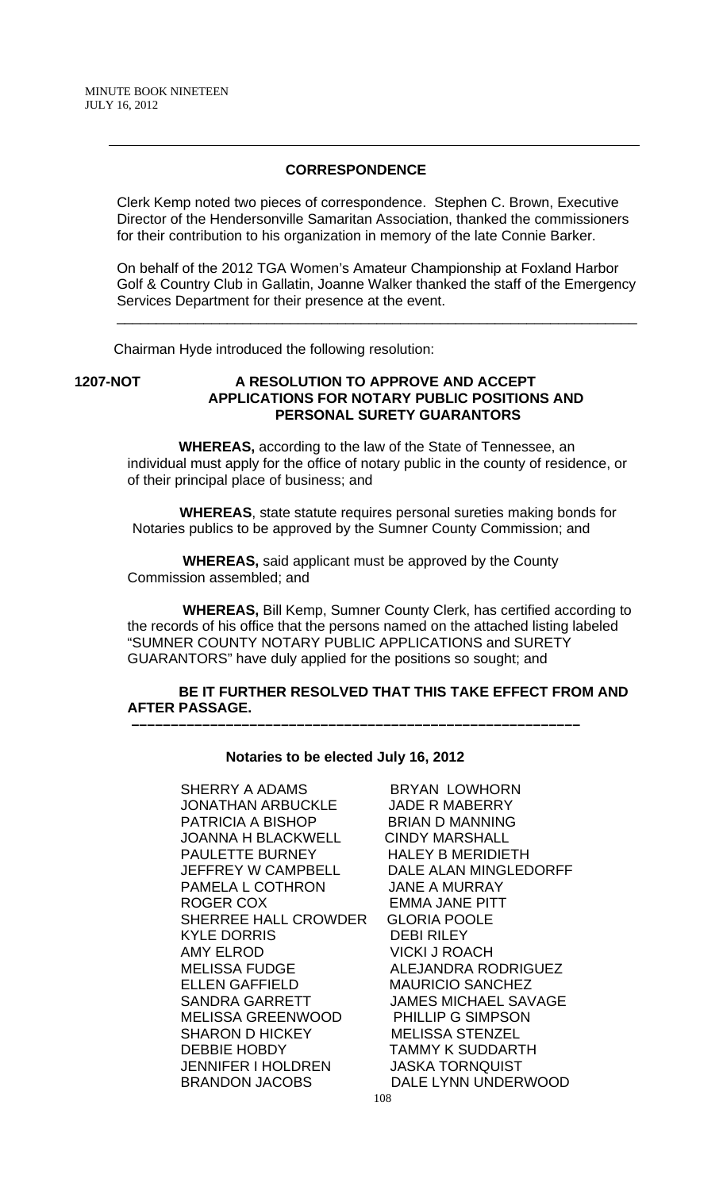#### **CORRESPONDENCE**

Clerk Kemp noted two pieces of correspondence. Stephen C. Brown, Executive Director of the Hendersonville Samaritan Association, thanked the commissioners for their contribution to his organization in memory of the late Connie Barker.

On behalf of the 2012 TGA Women's Amateur Championship at Foxland Harbor Golf & Country Club in Gallatin, Joanne Walker thanked the staff of the Emergency Services Department for their presence at the event.

\_\_\_\_\_\_\_\_\_\_\_\_\_\_\_\_\_\_\_\_\_\_\_\_\_\_\_\_\_\_\_\_\_\_\_\_\_\_\_\_\_\_\_\_\_\_\_\_\_\_\_\_\_\_\_\_\_\_\_\_\_\_\_\_\_\_

Chairman Hyde introduced the following resolution:

#### **1207-NOT A RESOLUTION TO APPROVE AND ACCEPT APPLICATIONS FOR NOTARY PUBLIC POSITIONS AND PERSONAL SURETY GUARANTORS**

 **WHEREAS,** according to the law of the State of Tennessee, an individual must apply for the office of notary public in the county of residence, or of their principal place of business; and

 **WHEREAS**, state statute requires personal sureties making bonds for Notaries publics to be approved by the Sumner County Commission; and

 **WHEREAS,** said applicant must be approved by the County Commission assembled; and

 **WHEREAS,** Bill Kemp, Sumner County Clerk, has certified according to the records of his office that the persons named on the attached listing labeled "SUMNER COUNTY NOTARY PUBLIC APPLICATIONS and SURETY GUARANTORS" have duly applied for the positions so sought; and

## **BE IT FURTHER RESOLVED THAT THIS TAKE EFFECT FROM AND AFTER PASSAGE.**

#### **Notaries to be elected July 16, 2012**

 **–––––––––––––––––––––––––––––––––––––––––––––––––––––––––**

SHERRY A ADAMS BRYAN LOWHORN JONATHAN ARBUCKLE JADE R MABERRY PATRICIA A BISHOP BRIAN D MANNING JOANNA H BLACKWELL CINDY MARSHALL PAULETTE BURNEY HALEY B MERIDIETH PAMELA L COTHRON ROGER COX **EMMA JANE PITT** SHERREE HALL CROWDER GLORIA POOLE KYLE DORRIS DEBI RILEY AMY ELROD VICKI J ROACH MELISSA FUDGE ALEJANDRA RODRIGUEZ ELLEN GAFFIELD MAURICIO SANCHEZ SANDRA GARRETT JAMES MICHAEL SAVAGE MELISSA GREENWOOD PHILLIP G SIMPSON SHARON D HICKEY MELISSA STENZEL DEBBIE HOBDY TAMMY K SUDDARTH JENNIFER I HOLDREN JASKA TORNQUIST BRANDON JACOBS DALE LYNN UNDERWOOD

108 JEFFREY W CAMPBELL DALE ALAN MINGLEDORFF<br>PAMELA L COTHRON JANE A MURRAY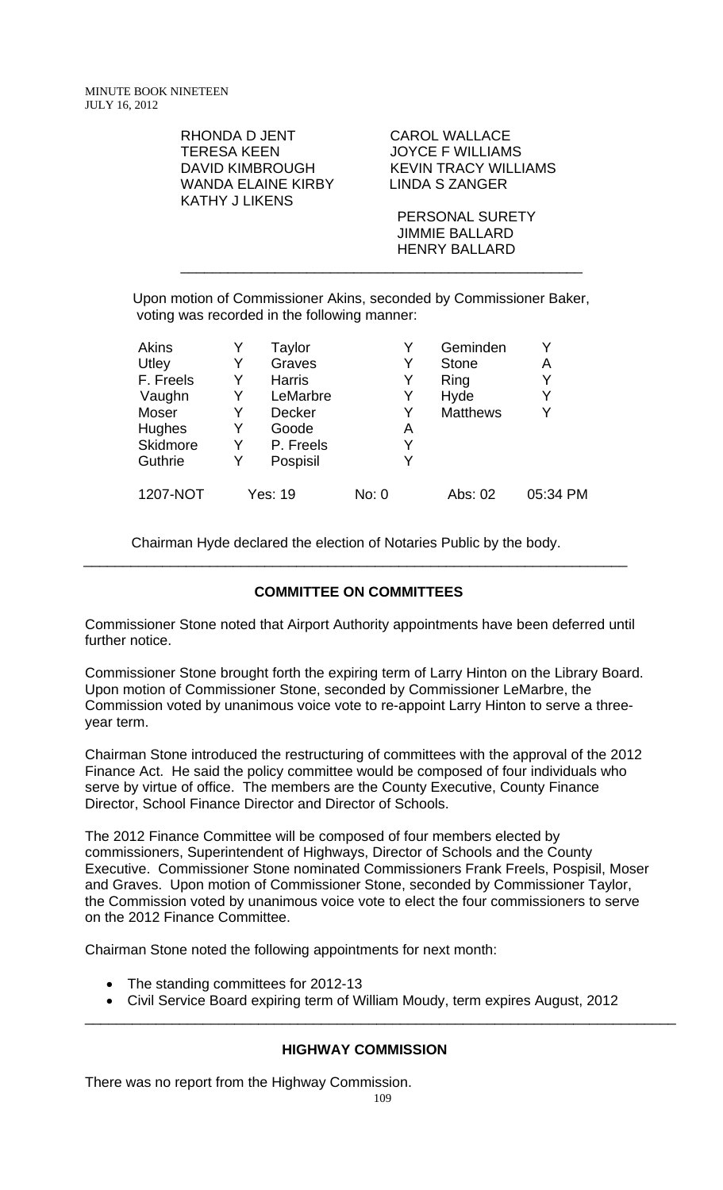> RHONDA D JENT CAROL WALLACE TERESA KEEN JOYCE F WILLIAMS WANDA ELAINE KIRBY LINDA S ZANGER KATHY J LIKENS

DAVID KIMBROUGH KEVIN TRACY WILLIAMS

 PERSONAL SURETY JIMMIE BALLARD HENRY BALLARD

Upon motion of Commissioner Akins, seconded by Commissioner Baker, voting was recorded in the following manner:

\_\_\_\_\_\_\_\_\_\_\_\_\_\_\_\_\_\_\_\_\_\_\_\_\_\_\_\_\_\_\_\_\_\_\_\_\_\_\_\_\_\_\_\_\_\_\_\_\_\_\_

| <b>Akins</b> |   | Taylor        |       |   | Geminden        |          |
|--------------|---|---------------|-------|---|-----------------|----------|
| Utley        | Y | Graves        |       |   | <b>Stone</b>    | Α        |
| F. Freels    | Y | <b>Harris</b> |       | Y | Ring            | Y        |
| Vaughn       | Y | LeMarbre      |       |   | Hyde            | Y        |
| Moser        | Y | <b>Decker</b> |       |   | <b>Matthews</b> | Y        |
| Hughes       | Y | Goode         |       | Α |                 |          |
| Skidmore     | Y | P. Freels     |       | Y |                 |          |
| Guthrie      | Y | Pospisil      |       | v |                 |          |
| 1207-NOT     |   | Yes: 19       | No: 0 |   | Abs: 02         | 05:34 PM |

Chairman Hyde declared the election of Notaries Public by the body.

## **COMMITTEE ON COMMITTEES**

\_\_\_\_\_\_\_\_\_\_\_\_\_\_\_\_\_\_\_\_\_\_\_\_\_\_\_\_\_\_\_\_\_\_\_\_\_\_\_\_\_\_\_\_\_\_\_\_\_\_\_\_\_\_\_\_\_\_\_\_\_\_\_\_\_\_\_\_\_

Commissioner Stone noted that Airport Authority appointments have been deferred until further notice.

Commissioner Stone brought forth the expiring term of Larry Hinton on the Library Board. Upon motion of Commissioner Stone, seconded by Commissioner LeMarbre, the Commission voted by unanimous voice vote to re-appoint Larry Hinton to serve a threeyear term.

Chairman Stone introduced the restructuring of committees with the approval of the 2012 Finance Act. He said the policy committee would be composed of four individuals who serve by virtue of office. The members are the County Executive, County Finance Director, School Finance Director and Director of Schools.

The 2012 Finance Committee will be composed of four members elected by commissioners, Superintendent of Highways, Director of Schools and the County Executive. Commissioner Stone nominated Commissioners Frank Freels, Pospisil, Moser and Graves. Upon motion of Commissioner Stone, seconded by Commissioner Taylor, the Commission voted by unanimous voice vote to elect the four commissioners to serve on the 2012 Finance Committee.

Chairman Stone noted the following appointments for next month:

- The standing committees for 2012-13
- Civil Service Board expiring term of William Moudy, term expires August, 2012

## **HIGHWAY COMMISSION**

There was no report from the Highway Commission.

\_\_\_\_\_\_\_\_\_\_\_\_\_\_\_\_\_\_\_\_\_\_\_\_\_\_\_\_\_\_\_\_\_\_\_\_\_\_\_\_\_\_\_\_\_\_\_\_\_\_\_\_\_\_\_\_\_\_\_\_\_\_\_\_\_\_\_\_\_\_\_\_\_\_\_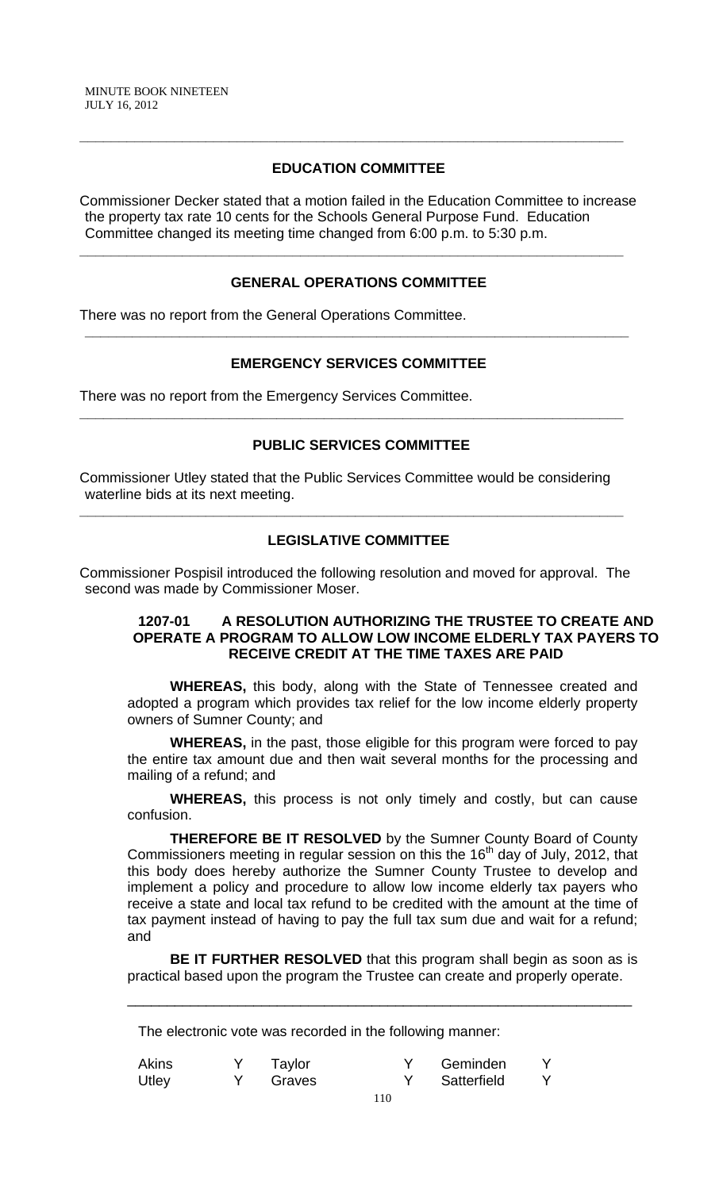## **EDUCATION COMMITTEE**

**\_\_\_\_\_\_\_\_\_\_\_\_\_\_\_\_\_\_\_\_\_\_\_\_\_\_\_\_\_\_\_\_\_\_\_\_\_\_\_\_\_\_\_\_\_\_\_\_\_\_\_\_\_\_\_\_\_\_\_\_\_\_\_\_\_\_\_\_\_** 

Commissioner Decker stated that a motion failed in the Education Committee to increase the property tax rate 10 cents for the Schools General Purpose Fund. Education Committee changed its meeting time changed from 6:00 p.m. to 5:30 p.m.

## **GENERAL OPERATIONS COMMITTEE**

**\_\_\_\_\_\_\_\_\_\_\_\_\_\_\_\_\_\_\_\_\_\_\_\_\_\_\_\_\_\_\_\_\_\_\_\_\_\_\_\_\_\_\_\_\_\_\_\_\_\_\_\_\_\_\_\_\_\_\_\_\_\_\_\_\_\_\_\_\_** 

There was no report from the General Operations Committee.

# **EMERGENCY SERVICES COMMITTEE**

**\_\_\_\_\_\_\_\_\_\_\_\_\_\_\_\_\_\_\_\_\_\_\_\_\_\_\_\_\_\_\_\_\_\_\_\_\_\_\_\_\_\_\_\_\_\_\_\_\_\_\_\_\_\_\_\_\_\_\_\_\_\_\_\_\_\_\_\_\_** 

There was no report from the Emergency Services Committee.

## **PUBLIC SERVICES COMMITTEE**

**\_\_\_\_\_\_\_\_\_\_\_\_\_\_\_\_\_\_\_\_\_\_\_\_\_\_\_\_\_\_\_\_\_\_\_\_\_\_\_\_\_\_\_\_\_\_\_\_\_\_\_\_\_\_\_\_\_\_\_\_\_\_\_\_\_\_\_\_\_** 

Commissioner Utley stated that the Public Services Committee would be considering waterline bids at its next meeting.

**\_\_\_\_\_\_\_\_\_\_\_\_\_\_\_\_\_\_\_\_\_\_\_\_\_\_\_\_\_\_\_\_\_\_\_\_\_\_\_\_\_\_\_\_\_\_\_\_\_\_\_\_\_\_\_\_\_\_\_\_\_\_\_\_\_\_\_\_\_** 

## **LEGISLATIVE COMMITTEE**

Commissioner Pospisil introduced the following resolution and moved for approval. The second was made by Commissioner Moser.

#### **1207-01 A RESOLUTION AUTHORIZING THE TRUSTEE TO CREATE AND OPERATE A PROGRAM TO ALLOW LOW INCOME ELDERLY TAX PAYERS TO RECEIVE CREDIT AT THE TIME TAXES ARE PAID**

**WHEREAS,** this body, along with the State of Tennessee created and adopted a program which provides tax relief for the low income elderly property owners of Sumner County; and

**WHEREAS,** in the past, those eligible for this program were forced to pay the entire tax amount due and then wait several months for the processing and mailing of a refund; and

 **WHEREAS,** this process is not only timely and costly, but can cause confusion.

**THEREFORE BE IT RESOLVED** by the Sumner County Board of County Commissioners meeting in regular session on this the  $16<sup>th</sup>$  day of July, 2012, that this body does hereby authorize the Sumner County Trustee to develop and implement a policy and procedure to allow low income elderly tax payers who receive a state and local tax refund to be credited with the amount at the time of tax payment instead of having to pay the full tax sum due and wait for a refund; and

**BE IT FURTHER RESOLVED** that this program shall begin as soon as is practical based upon the program the Trustee can create and properly operate.

\_\_\_\_\_\_\_\_\_\_\_\_\_\_\_\_\_\_\_\_\_\_\_\_\_\_\_\_\_\_\_\_\_\_\_\_\_\_\_\_\_\_\_\_\_\_\_\_\_\_\_\_\_\_\_\_\_\_\_\_\_\_\_\_

The electronic vote was recorded in the following manner:

| Akins | Taylor | Geminden    |  |
|-------|--------|-------------|--|
| Utley | Graves | Satterfield |  |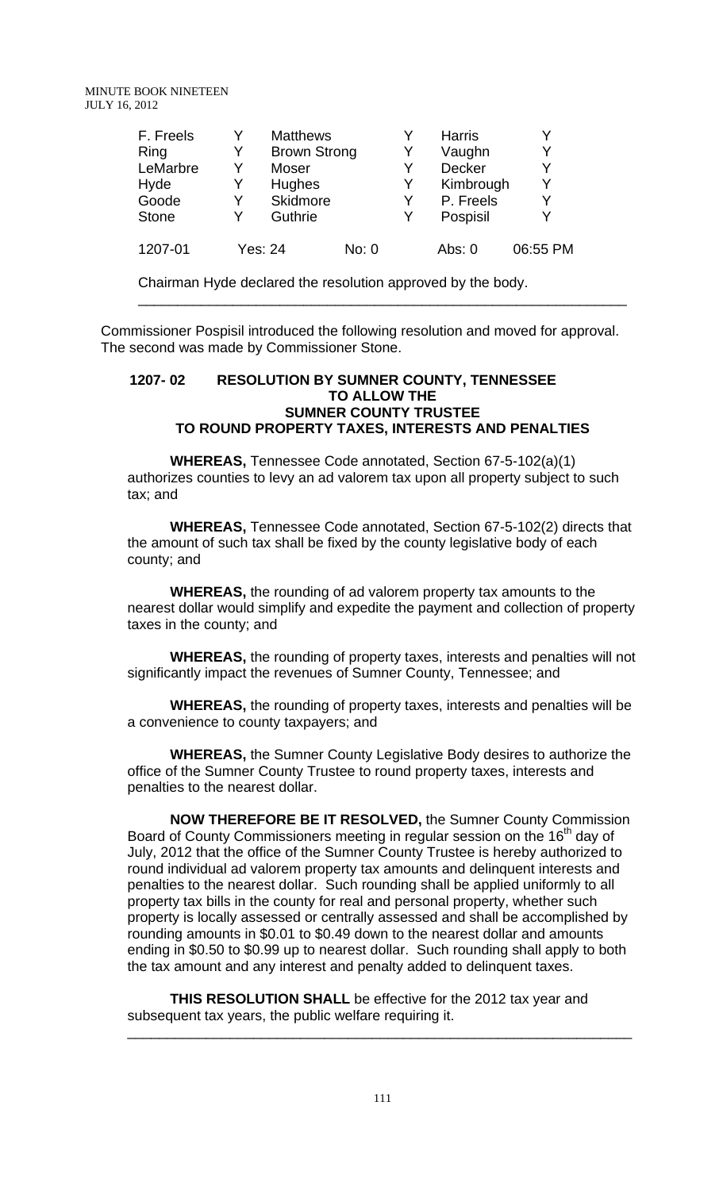| F. Freels    | Y | <b>Matthews</b>     |       | Y | <b>Harris</b> | Y        |
|--------------|---|---------------------|-------|---|---------------|----------|
| Ring         | Y | <b>Brown Strong</b> |       | Y | Vaughn        | Y        |
| LeMarbre     | Y | Moser               |       | Y | Decker        | Y        |
| Hyde         | Y | Hughes              |       | Y | Kimbrough     | Y        |
| Goode        | Y | Skidmore            |       | Y | P. Freels     | Y        |
| <b>Stone</b> |   | Guthrie             |       | Y | Pospisil      | Y        |
| 1207-01      |   | Yes: 24             | No: 0 |   | Abs: 0        | 06:55 PM |

Chairman Hyde declared the resolution approved by the body.

Commissioner Pospisil introduced the following resolution and moved for approval. The second was made by Commissioner Stone.

\_\_\_\_\_\_\_\_\_\_\_\_\_\_\_\_\_\_\_\_\_\_\_\_\_\_\_\_\_\_\_\_\_\_\_\_\_\_\_\_\_\_\_\_\_\_\_\_\_\_\_\_\_\_\_\_\_\_\_\_\_\_

## **1207- 02 RESOLUTION BY SUMNER COUNTY, TENNESSEE TO ALLOW THE SUMNER COUNTY TRUSTEE TO ROUND PROPERTY TAXES, INTERESTS AND PENALTIES**

**WHEREAS,** Tennessee Code annotated, Section 67-5-102(a)(1) authorizes counties to levy an ad valorem tax upon all property subject to such tax; and

**WHEREAS,** Tennessee Code annotated, Section 67-5-102(2) directs that the amount of such tax shall be fixed by the county legislative body of each county; and

**WHEREAS,** the rounding of ad valorem property tax amounts to the nearest dollar would simplify and expedite the payment and collection of property taxes in the county; and

**WHEREAS,** the rounding of property taxes, interests and penalties will not significantly impact the revenues of Sumner County, Tennessee; and

**WHEREAS,** the rounding of property taxes, interests and penalties will be a convenience to county taxpayers; and

**WHEREAS,** the Sumner County Legislative Body desires to authorize the office of the Sumner County Trustee to round property taxes, interests and penalties to the nearest dollar.

**NOW THEREFORE BE IT RESOLVED,** the Sumner County Commission Board of County Commissioners meeting in regular session on the 16<sup>th</sup> day of July, 2012 that the office of the Sumner County Trustee is hereby authorized to round individual ad valorem property tax amounts and delinquent interests and penalties to the nearest dollar. Such rounding shall be applied uniformly to all property tax bills in the county for real and personal property, whether such property is locally assessed or centrally assessed and shall be accomplished by rounding amounts in \$0.01 to \$0.49 down to the nearest dollar and amounts ending in \$0.50 to \$0.99 up to nearest dollar. Such rounding shall apply to both the tax amount and any interest and penalty added to delinquent taxes.

**THIS RESOLUTION SHALL** be effective for the 2012 tax year and subsequent tax years, the public welfare requiring it.

\_\_\_\_\_\_\_\_\_\_\_\_\_\_\_\_\_\_\_\_\_\_\_\_\_\_\_\_\_\_\_\_\_\_\_\_\_\_\_\_\_\_\_\_\_\_\_\_\_\_\_\_\_\_\_\_\_\_\_\_\_\_\_\_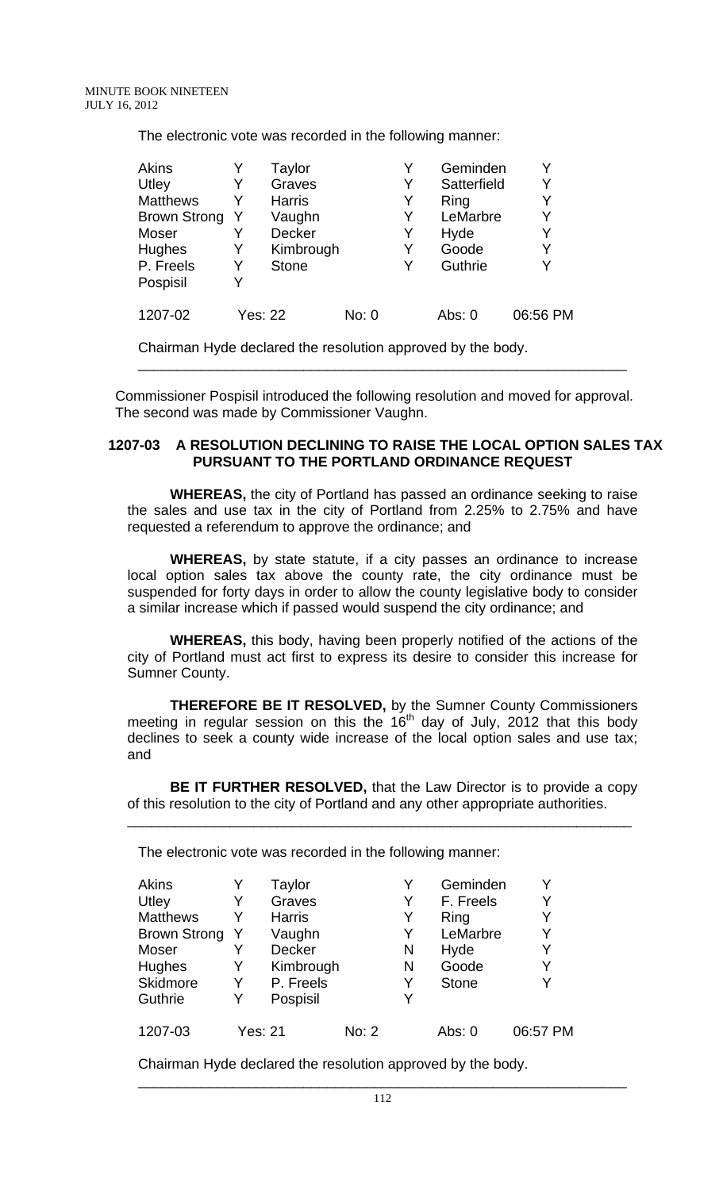The electronic vote was recorded in the following manner:

| <b>Akins</b>    |         | Taylor        |       | Y | Geminden    | Y        |
|-----------------|---------|---------------|-------|---|-------------|----------|
| Utley           | Y       | Graves        |       | Y | Satterfield | Y        |
| <b>Matthews</b> |         | <b>Harris</b> |       | Y | Ring        | Y        |
| Brown Strong    |         | Vaughn        |       | Y | LeMarbre    | Y        |
| Moser           |         | Decker        |       | Y | Hyde        | Y        |
| <b>Hughes</b>   | Y       | Kimbrough     |       | Y | Goode       | Y        |
| P. Freels       | Y       | <b>Stone</b>  |       | Y | Guthrie     | Y        |
| Pospisil        |         |               |       |   |             |          |
| 1207-02         | Yes: 22 |               | No: 0 |   | Abs: 0      | 06:56 PM |

Chairman Hyde declared the resolution approved by the body.

 Commissioner Pospisil introduced the following resolution and moved for approval. The second was made by Commissioner Vaughn.

\_\_\_\_\_\_\_\_\_\_\_\_\_\_\_\_\_\_\_\_\_\_\_\_\_\_\_\_\_\_\_\_\_\_\_\_\_\_\_\_\_\_\_\_\_\_\_\_\_\_\_\_\_\_\_\_\_\_\_\_\_\_

## **1207-03 A RESOLUTION DECLINING TO RAISE THE LOCAL OPTION SALES TAX PURSUANT TO THE PORTLAND ORDINANCE REQUEST**

**WHEREAS,** the city of Portland has passed an ordinance seeking to raise the sales and use tax in the city of Portland from 2.25% to 2.75% and have requested a referendum to approve the ordinance; and

**WHEREAS,** by state statute, if a city passes an ordinance to increase local option sales tax above the county rate, the city ordinance must be suspended for forty days in order to allow the county legislative body to consider a similar increase which if passed would suspend the city ordinance; and

**WHEREAS,** this body, having been properly notified of the actions of the city of Portland must act first to express its desire to consider this increase for Sumner County.

**THEREFORE BE IT RESOLVED,** by the Sumner County Commissioners meeting in regular session on this the 16<sup>th</sup> day of July, 2012 that this body declines to seek a county wide increase of the local option sales and use tax; and

**BE IT FURTHER RESOLVED,** that the Law Director is to provide a copy of this resolution to the city of Portland and any other appropriate authorities.

\_\_\_\_\_\_\_\_\_\_\_\_\_\_\_\_\_\_\_\_\_\_\_\_\_\_\_\_\_\_\_\_\_\_\_\_\_\_\_\_\_\_\_\_\_\_\_\_\_\_\_\_\_\_\_\_\_\_\_\_\_\_\_\_

The electronic vote was recorded in the following manner:

| <b>Akins</b><br>Utley<br><b>Matthews</b><br><b>Brown Strong</b><br>Moser<br>Hughes<br>Skidmore | Y<br>Y  | Taylor<br>Graves<br><b>Harris</b><br>Vaughn<br>Decker<br>Kimbrough<br>P. Freels |       | Y<br>Y<br>Y<br>Y<br>N<br>N<br>Y | Geminden<br>F. Freels<br>Ring<br>LeMarbre<br>Hyde<br>Goode<br><b>Stone</b> | Y<br>Y<br>Y<br>Y<br>Y<br>Y<br>Y |
|------------------------------------------------------------------------------------------------|---------|---------------------------------------------------------------------------------|-------|---------------------------------|----------------------------------------------------------------------------|---------------------------------|
| Guthrie                                                                                        | Y       | Pospisil                                                                        |       | Y                               |                                                                            |                                 |
| 1207-03                                                                                        | Yes: 21 |                                                                                 | No: 2 |                                 | Abs: 0                                                                     | 06:57 PM                        |

Chairman Hyde declared the resolution approved by the body.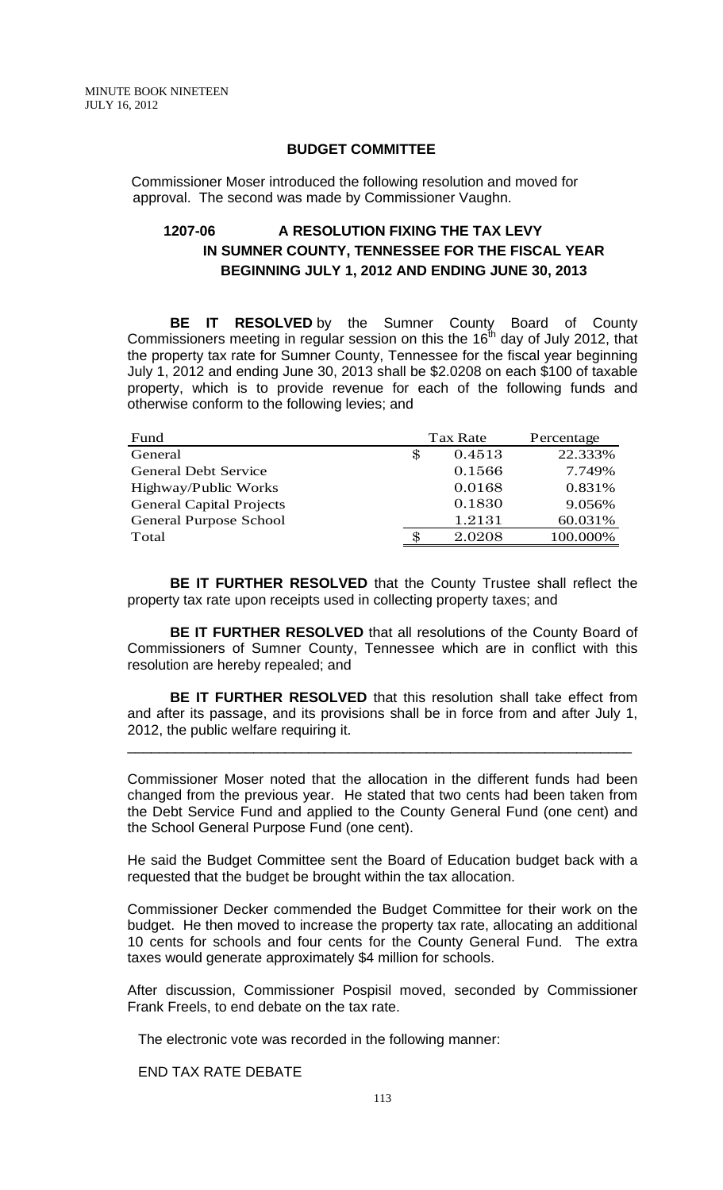#### **BUDGET COMMITTEE**

 Commissioner Moser introduced the following resolution and moved for approval. The second was made by Commissioner Vaughn.

# **1207-06 A RESOLUTION FIXING THE TAX LEVY IN SUMNER COUNTY, TENNESSEE FOR THE FISCAL YEAR BEGINNING JULY 1, 2012 AND ENDING JUNE 30, 2013**

**BE IT RESOLVED** by the Sumner County Board of County Commissioners meeting in regular session on this the  $16<sup>th</sup>$  day of July 2012, that the property tax rate for Sumner County, Tennessee for the fiscal year beginning July 1, 2012 and ending June 30, 2013 shall be \$2.0208 on each \$100 of taxable property, which is to provide revenue for each of the following funds and otherwise conform to the following levies; and

| Fund                            | Tax Rate     | Percentage |
|---------------------------------|--------------|------------|
| General                         | \$<br>0.4513 | 22.333%    |
| <b>General Debt Service</b>     | 0.1566       | 7.749%     |
| Highway/Public Works            | 0.0168       | 0.831%     |
| <b>General Capital Projects</b> | 0.1830       | 9.056%     |
| <b>General Purpose School</b>   | 1.2131       | 60.031%    |
| Total                           | \$<br>2.0208 | 100.000%   |

**BE IT FURTHER RESOLVED** that the County Trustee shall reflect the property tax rate upon receipts used in collecting property taxes; and

**BE IT FURTHER RESOLVED** that all resolutions of the County Board of Commissioners of Sumner County, Tennessee which are in conflict with this resolution are hereby repealed; and

**BE IT FURTHER RESOLVED** that this resolution shall take effect from and after its passage, and its provisions shall be in force from and after July 1, 2012, the public welfare requiring it.

\_\_\_\_\_\_\_\_\_\_\_\_\_\_\_\_\_\_\_\_\_\_\_\_\_\_\_\_\_\_\_\_\_\_\_\_\_\_\_\_\_\_\_\_\_\_\_\_\_\_\_\_\_\_\_\_\_\_\_\_\_\_\_\_

Commissioner Moser noted that the allocation in the different funds had been changed from the previous year. He stated that two cents had been taken from the Debt Service Fund and applied to the County General Fund (one cent) and the School General Purpose Fund (one cent).

He said the Budget Committee sent the Board of Education budget back with a requested that the budget be brought within the tax allocation.

Commissioner Decker commended the Budget Committee for their work on the budget. He then moved to increase the property tax rate, allocating an additional 10 cents for schools and four cents for the County General Fund. The extra taxes would generate approximately \$4 million for schools.

After discussion, Commissioner Pospisil moved, seconded by Commissioner Frank Freels, to end debate on the tax rate.

The electronic vote was recorded in the following manner:

END TAX RATE DEBATE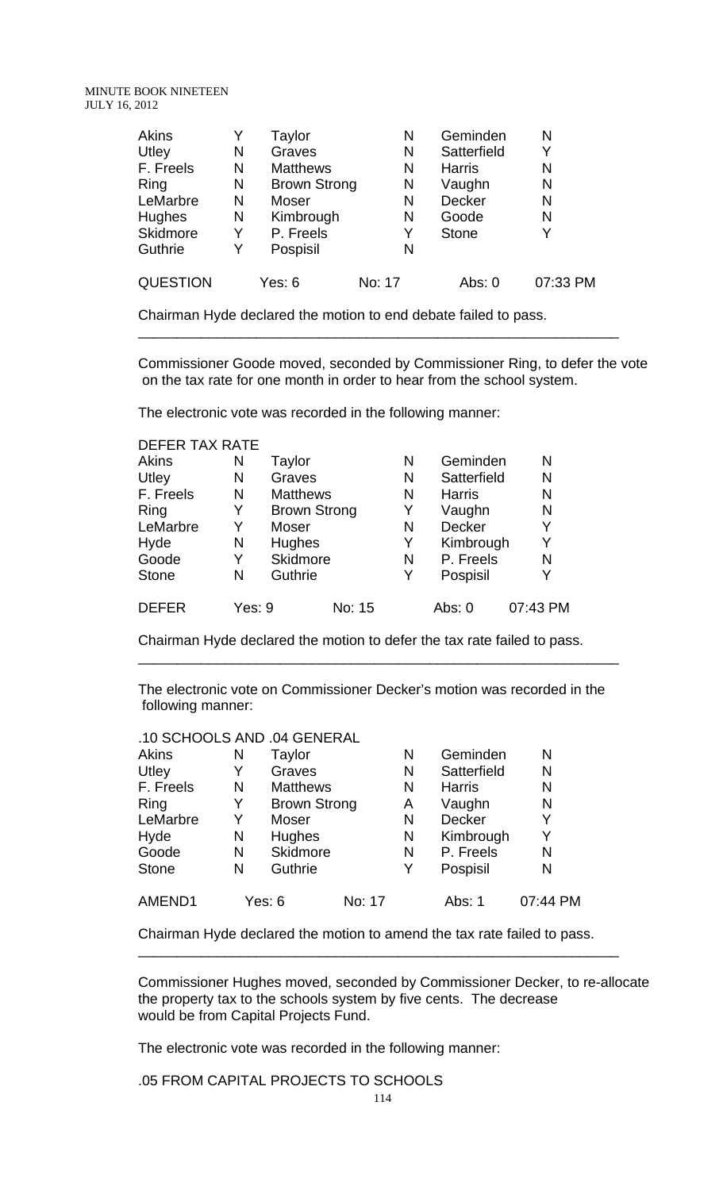| <b>Akins</b>    |   | Taylor              | Ν      | Geminden      | N        |
|-----------------|---|---------------------|--------|---------------|----------|
| Utley           | N | Graves              | N      | Satterfield   | Y        |
| F. Freels       | N | <b>Matthews</b>     | N      | <b>Harris</b> | N        |
| Ring            | N | <b>Brown Strong</b> | N      | Vaughn        | N        |
| LeMarbre        | N | Moser               | N      | Decker        | N        |
| <b>Hughes</b>   | N | Kimbrough           | N      | Goode         | N        |
| Skidmore        | Y | P. Freels           | Y      | <b>Stone</b>  | Y        |
| Guthrie         | Y | Pospisil            | N      |               |          |
| <b>QUESTION</b> |   | Yes: 6              | No: 17 | Abs: $0$      | 07:33 PM |

Chairman Hyde declared the motion to end debate failed to pass.

Commissioner Goode moved, seconded by Commissioner Ring, to defer the vote on the tax rate for one month in order to hear from the school system.

\_\_\_\_\_\_\_\_\_\_\_\_\_\_\_\_\_\_\_\_\_\_\_\_\_\_\_\_\_\_\_\_\_\_\_\_\_\_\_\_\_\_\_\_\_\_\_\_\_\_\_\_\_\_\_\_\_\_\_\_\_

The electronic vote was recorded in the following manner:

DEFER TAX RATE

| Akins        | Ν      | Taylor              |        | N | Geminden      | N        |
|--------------|--------|---------------------|--------|---|---------------|----------|
| Utley        | N      | Graves              |        | N | Satterfield   | N        |
| F. Freels    | N      | <b>Matthews</b>     |        | N | <b>Harris</b> | N        |
| Ring         | Y      | <b>Brown Strong</b> |        | Y | Vaughn        | N        |
| LeMarbre     | Y      | Moser               |        | N | Decker        | Y        |
| Hyde         | N      | Hughes              |        | Y | Kimbrough     | Y        |
| Goode        | Y      | Skidmore            |        | N | P. Freels     | N        |
| <b>Stone</b> | N      | Guthrie             |        | Y | Pospisil      | Y        |
| <b>DEFER</b> | Yes: 9 |                     | No: 15 |   | Abs: $0$      | 07:43 PM |

Chairman Hyde declared the motion to defer the tax rate failed to pass.

The electronic vote on Commissioner Decker's motion was recorded in the following manner:

\_\_\_\_\_\_\_\_\_\_\_\_\_\_\_\_\_\_\_\_\_\_\_\_\_\_\_\_\_\_\_\_\_\_\_\_\_\_\_\_\_\_\_\_\_\_\_\_\_\_\_\_\_\_\_\_\_\_\_\_\_

| .10 SCHOOLS AND .04 GENERAL |   |                     |        |   |               |          |
|-----------------------------|---|---------------------|--------|---|---------------|----------|
| <b>Akins</b>                | Ν | Taylor              |        | N | Geminden      | N        |
| Utley                       | Y | Graves              |        | N | Satterfield   | N        |
| F. Freels                   | N | <b>Matthews</b>     |        | N | <b>Harris</b> | N        |
| Ring                        | Y | <b>Brown Strong</b> |        | A | Vaughn        | N        |
| LeMarbre                    | Y | Moser               |        | N | <b>Decker</b> | Y        |
| Hyde                        | N | <b>Hughes</b>       |        | N | Kimbrough     | Y        |
| Goode                       | N | Skidmore            |        | N | P. Freels     | N        |
| <b>Stone</b>                | N | Guthrie             |        | Y | Pospisil      | N        |
| AMEND1                      |   | Yes: 6              | No: 17 |   | Abs: 1        | 07:44 PM |

Chairman Hyde declared the motion to amend the tax rate failed to pass.

\_\_\_\_\_\_\_\_\_\_\_\_\_\_\_\_\_\_\_\_\_\_\_\_\_\_\_\_\_\_\_\_\_\_\_\_\_\_\_\_\_\_\_\_\_\_\_\_\_\_\_\_\_\_\_\_\_\_\_\_\_

Commissioner Hughes moved, seconded by Commissioner Decker, to re-allocate the property tax to the schools system by five cents. The decrease would be from Capital Projects Fund.

The electronic vote was recorded in the following manner:

.05 FROM CAPITAL PROJECTS TO SCHOOLS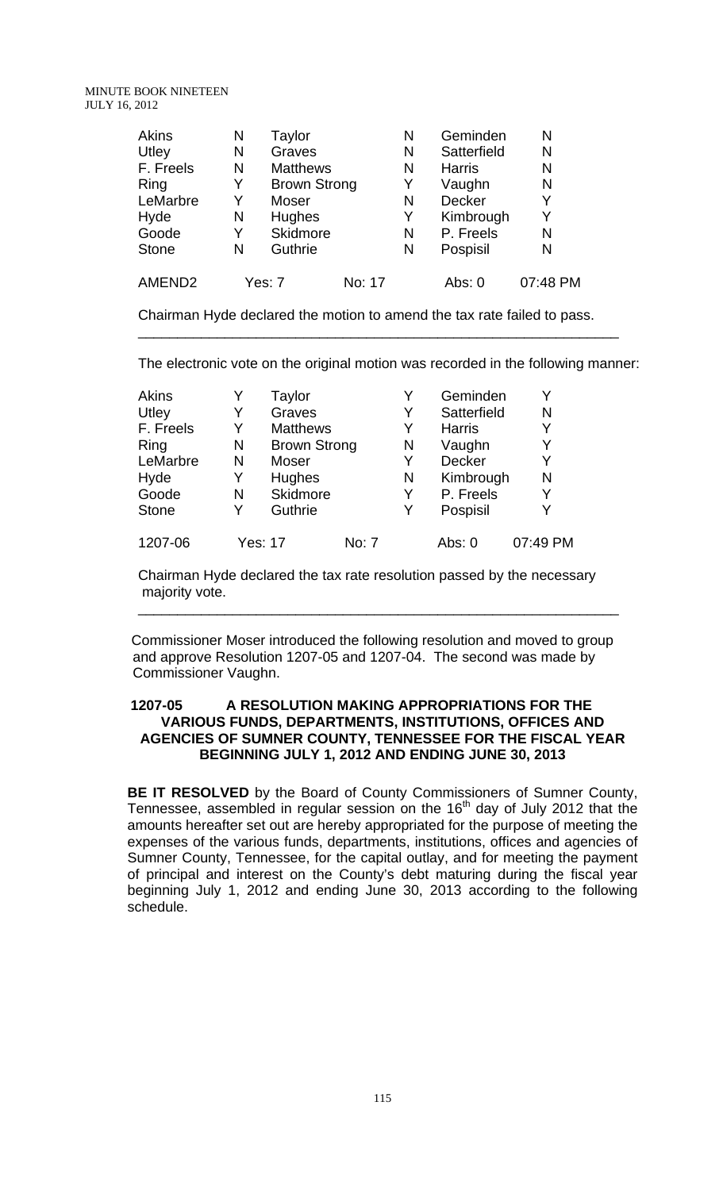| <b>Akins</b> | Ν | Taylor          |                     | N | Geminden      | N        |
|--------------|---|-----------------|---------------------|---|---------------|----------|
| Utley        | N | Graves          |                     | N | Satterfield   | N        |
| F. Freels    | N | <b>Matthews</b> |                     | N | <b>Harris</b> | N        |
| Ring         | Y |                 | <b>Brown Strong</b> | Y | Vaughn        | N        |
| LeMarbre     | Y | Moser           |                     | N | Decker        | Y        |
| Hyde         | N | Hughes          |                     | Y | Kimbrough     | Y        |
| Goode        | Y | Skidmore        |                     | N | P. Freels     | N        |
| <b>Stone</b> | N | Guthrie         |                     | N | Pospisil      | N        |
| AMEND2       |   | Yes: 7          | No: 17              |   | Abs: 0        | 07:48 PM |

Chairman Hyde declared the motion to amend the tax rate failed to pass.

The electronic vote on the original motion was recorded in the following manner:

\_\_\_\_\_\_\_\_\_\_\_\_\_\_\_\_\_\_\_\_\_\_\_\_\_\_\_\_\_\_\_\_\_\_\_\_\_\_\_\_\_\_\_\_\_\_\_\_\_\_\_\_\_\_\_\_\_\_\_\_\_

| <b>Akins</b> |   | Taylor              |              | Y | Geminden      | Y        |
|--------------|---|---------------------|--------------|---|---------------|----------|
| Utley        | Y | Graves              |              | Y | Satterfield   | Ν        |
| F. Freels    | Y | <b>Matthews</b>     |              | Y | <b>Harris</b> | Y        |
| Ring         | N | <b>Brown Strong</b> |              | N | Vaughn        | Y        |
| LeMarbre     | N | Moser               |              | Y | Decker        | Y        |
| Hyde         | Y | Hughes              |              | N | Kimbrough     | N        |
| Goode        | N | Skidmore            |              | Y | P. Freels     | Y        |
| <b>Stone</b> | Y | Guthrie             |              | Y | Pospisil      | Y        |
| 1207-06      |   | <b>Yes: 17</b>      | <b>No: 7</b> |   | Abs: $0$      | 07:49 PM |

Chairman Hyde declared the tax rate resolution passed by the necessary majority vote.

 Commissioner Moser introduced the following resolution and moved to group and approve Resolution 1207-05 and 1207-04. The second was made by Commissioner Vaughn.

\_\_\_\_\_\_\_\_\_\_\_\_\_\_\_\_\_\_\_\_\_\_\_\_\_\_\_\_\_\_\_\_\_\_\_\_\_\_\_\_\_\_\_\_\_\_\_\_\_\_\_\_\_\_\_\_\_\_\_\_\_

#### **1207-05 A RESOLUTION MAKING APPROPRIATIONS FOR THE VARIOUS FUNDS, DEPARTMENTS, INSTITUTIONS, OFFICES AND AGENCIES OF SUMNER COUNTY, TENNESSEE FOR THE FISCAL YEAR BEGINNING JULY 1, 2012 AND ENDING JUNE 30, 2013**

**BE IT RESOLVED** by the Board of County Commissioners of Sumner County, Tennessee, assembled in regular session on the  $16<sup>th</sup>$  day of July 2012 that the amounts hereafter set out are hereby appropriated for the purpose of meeting the expenses of the various funds, departments, institutions, offices and agencies of Sumner County, Tennessee, for the capital outlay, and for meeting the payment of principal and interest on the County's debt maturing during the fiscal year beginning July 1, 2012 and ending June 30, 2013 according to the following schedule.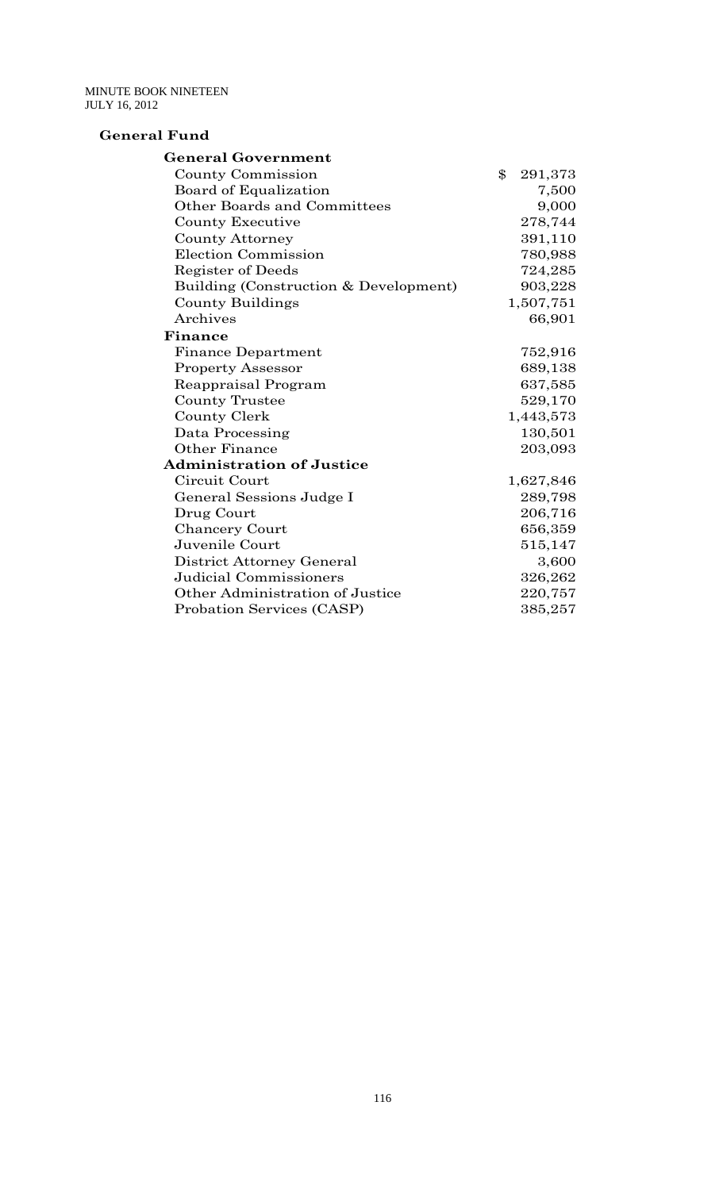#### **General Fund**

| <b>General Government</b>             |               |
|---------------------------------------|---------------|
| County Commission                     | \$<br>291,373 |
| Board of Equalization                 | 7,500         |
| <b>Other Boards and Committees</b>    | 9,000         |
| County Executive                      | 278,744       |
| <b>County Attorney</b>                | 391,110       |
| Election Commission                   | 780,988       |
| Register of Deeds                     | 724,285       |
| Building (Construction & Development) | 903,228       |
| County Buildings                      | 1,507,751     |
| Archives                              | 66,901        |
| Finance                               |               |
| <b>Finance Department</b>             | 752,916       |
| <b>Property Assessor</b>              | 689,138       |
| Reappraisal Program                   | 637,585       |
| <b>County Trustee</b>                 | 529,170       |
| County Clerk                          | 1,443,573     |
| Data Processing                       | 130,501       |
| <b>Other Finance</b>                  | 203,093       |
| <b>Administration of Justice</b>      |               |
| Circuit Court                         | 1,627,846     |
| General Sessions Judge I              | 289,798       |
| Drug Court                            | 206,716       |
| <b>Chancery Court</b>                 | 656,359       |
| Juvenile Court                        | 515,147       |
| District Attorney General             | 3,600         |
| Judicial Commissioners                | 326,262       |
| Other Administration of Justice       | 220,757       |
| Probation Services (CASP)             | 385,257       |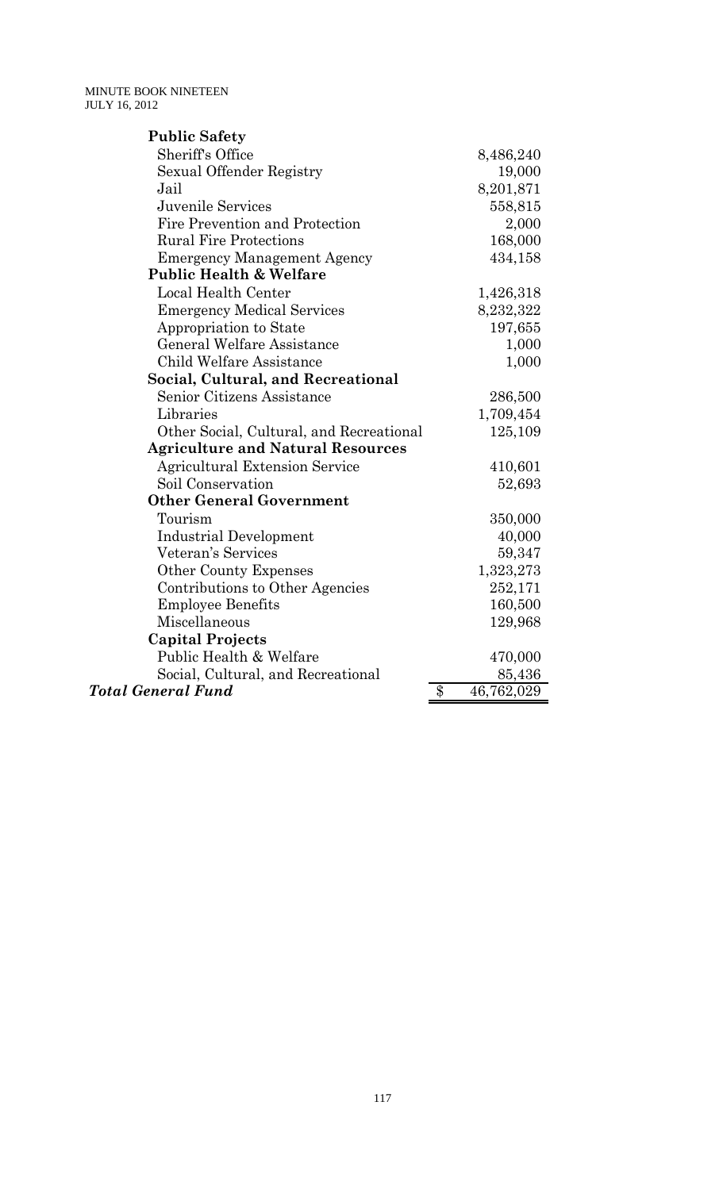| <b>Public Safety</b>                     |                  |
|------------------------------------------|------------------|
| <b>Sheriff's Office</b>                  | 8,486,240        |
| Sexual Offender Registry                 | 19,000           |
| Jail                                     | 8,201,871        |
| <b>Juvenile Services</b>                 | 558,815          |
| Fire Prevention and Protection           | 2,000            |
| <b>Rural Fire Protections</b>            | 168,000          |
| <b>Emergency Management Agency</b>       | 434,158          |
| <b>Public Health &amp; Welfare</b>       |                  |
| Local Health Center                      | 1,426,318        |
| <b>Emergency Medical Services</b>        | 8,232,322        |
| Appropriation to State                   | 197,655          |
| <b>General Welfare Assistance</b>        | 1,000            |
| Child Welfare Assistance                 | 1,000            |
| Social, Cultural, and Recreational       |                  |
| Senior Citizens Assistance               | 286,500          |
| Libraries                                | 1,709,454        |
| Other Social, Cultural, and Recreational | 125,109          |
| <b>Agriculture and Natural Resources</b> |                  |
| <b>Agricultural Extension Service</b>    | 410,601          |
| Soil Conservation                        | 52,693           |
| <b>Other General Government</b>          |                  |
| Tourism                                  | 350,000          |
| <b>Industrial Development</b>            | 40,000           |
| Veteran's Services                       | 59,347           |
| <b>Other County Expenses</b>             | 1,323,273        |
| Contributions to Other Agencies          | 252,171          |
| <b>Employee Benefits</b>                 | 160,500          |
| Miscellaneous                            | 129,968          |
| <b>Capital Projects</b>                  |                  |
| Public Health & Welfare                  | 470,000          |
| Social, Cultural, and Recreational       | 85,436           |
| <b>Total General Fund</b>                | \$<br>46,762,029 |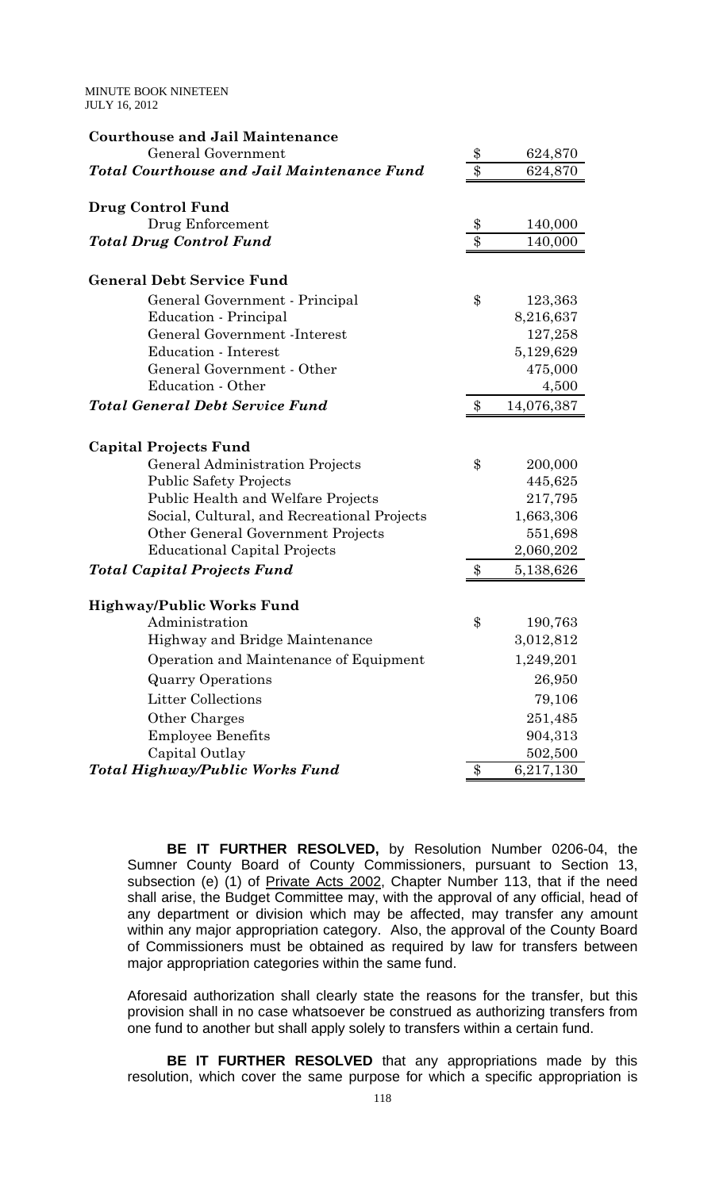| <b>Courthouse and Jail Maintenance</b>            |                  |            |
|---------------------------------------------------|------------------|------------|
| General Government                                | $\frac{3}{5}$    | 624,870    |
| <b>Total Courthouse and Jail Maintenance Fund</b> | $\overline{\$\}$ | 624,870    |
| Drug Control Fund                                 |                  |            |
| Drug Enforcement                                  | \$               | 140,000    |
| <b>Total Drug Control Fund</b>                    | $\overline{\$\}$ | 140,000    |
| <b>General Debt Service Fund</b>                  |                  |            |
| General Government - Principal                    | \$               | 123,363    |
| Education - Principal                             |                  | 8,216,637  |
| General Government - Interest                     |                  | 127,258    |
| <b>Education - Interest</b>                       |                  | 5,129,629  |
| General Government - Other                        |                  | 475,000    |
| Education - Other                                 |                  | 4,500      |
| <b>Total General Debt Service Fund</b>            | $\$\$            | 14,076,387 |
| <b>Capital Projects Fund</b>                      |                  |            |
| <b>General Administration Projects</b>            | \$               | 200,000    |
| <b>Public Safety Projects</b>                     |                  | 445,625    |
| Public Health and Welfare Projects                |                  | 217,795    |
| Social, Cultural, and Recreational Projects       |                  | 1,663,306  |
| Other General Government Projects                 |                  | 551,698    |
| <b>Educational Capital Projects</b>               |                  | 2,060,202  |
| <b>Total Capital Projects Fund</b>                | \$               | 5,138,626  |
| <b>Highway/Public Works Fund</b>                  |                  |            |
| Administration                                    | \$               | 190,763    |
| Highway and Bridge Maintenance                    |                  | 3,012,812  |
| Operation and Maintenance of Equipment            |                  | 1,249,201  |
| <b>Quarry Operations</b>                          |                  | 26,950     |
| <b>Litter Collections</b>                         |                  | 79,106     |
| Other Charges                                     |                  | 251,485    |
| <b>Employee Benefits</b>                          |                  | 904,313    |
| Capital Outlay                                    |                  | 502,500    |
| Total Highway/Public Works Fund                   | \$               | 6,217,130  |

 **BE IT FURTHER RESOLVED,** by Resolution Number 0206-04, the Sumner County Board of County Commissioners, pursuant to Section 13, subsection (e) (1) of Private Acts 2002, Chapter Number 113, that if the need shall arise, the Budget Committee may, with the approval of any official, head of any department or division which may be affected, may transfer any amount within any major appropriation category. Also, the approval of the County Board of Commissioners must be obtained as required by law for transfers between major appropriation categories within the same fund.

Aforesaid authorization shall clearly state the reasons for the transfer, but this provision shall in no case whatsoever be construed as authorizing transfers from one fund to another but shall apply solely to transfers within a certain fund.

**BE IT FURTHER RESOLVED** that any appropriations made by this resolution, which cover the same purpose for which a specific appropriation is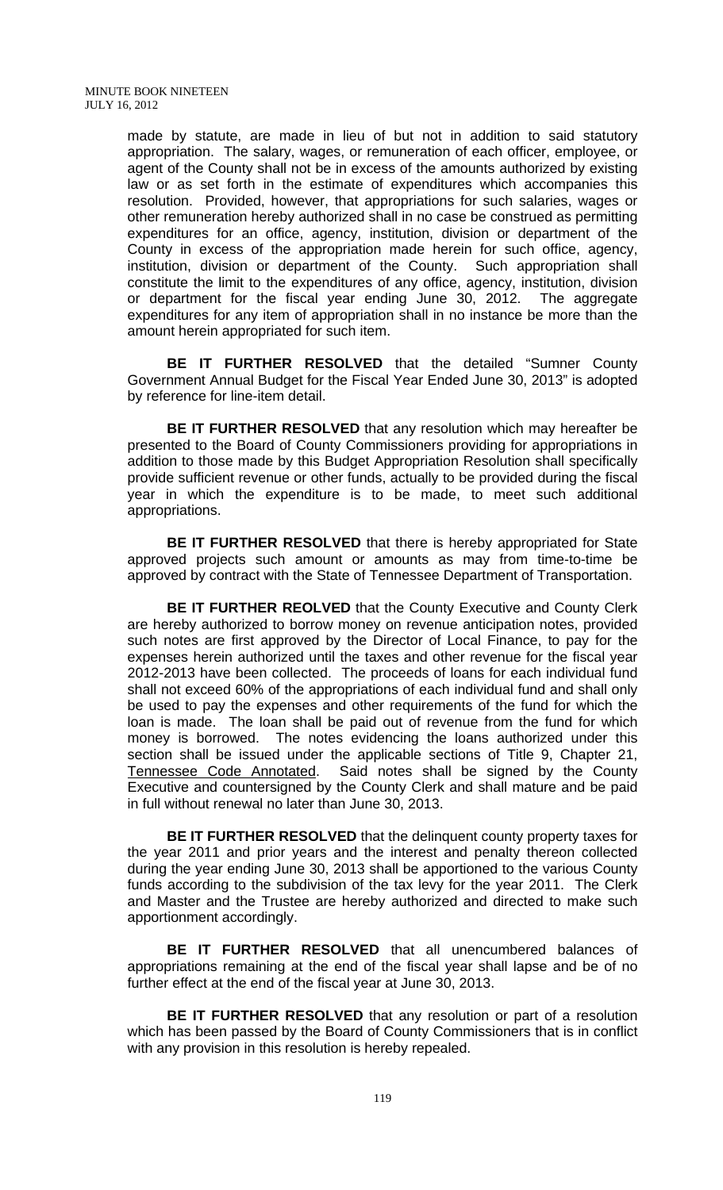made by statute, are made in lieu of but not in addition to said statutory appropriation. The salary, wages, or remuneration of each officer, employee, or agent of the County shall not be in excess of the amounts authorized by existing law or as set forth in the estimate of expenditures which accompanies this resolution. Provided, however, that appropriations for such salaries, wages or other remuneration hereby authorized shall in no case be construed as permitting expenditures for an office, agency, institution, division or department of the County in excess of the appropriation made herein for such office, agency, institution, division or department of the County. Such appropriation shall constitute the limit to the expenditures of any office, agency, institution, division or department for the fiscal year ending June 30, 2012. The aggregate expenditures for any item of appropriation shall in no instance be more than the amount herein appropriated for such item.

 **BE IT FURTHER RESOLVED** that the detailed "Sumner County Government Annual Budget for the Fiscal Year Ended June 30, 2013" is adopted by reference for line-item detail.

**BE IT FURTHER RESOLVED** that any resolution which may hereafter be presented to the Board of County Commissioners providing for appropriations in addition to those made by this Budget Appropriation Resolution shall specifically provide sufficient revenue or other funds, actually to be provided during the fiscal year in which the expenditure is to be made, to meet such additional appropriations.

**BE IT FURTHER RESOLVED** that there is hereby appropriated for State approved projects such amount or amounts as may from time-to-time be approved by contract with the State of Tennessee Department of Transportation.

**BE IT FURTHER REOLVED** that the County Executive and County Clerk are hereby authorized to borrow money on revenue anticipation notes, provided such notes are first approved by the Director of Local Finance, to pay for the expenses herein authorized until the taxes and other revenue for the fiscal year 2012-2013 have been collected. The proceeds of loans for each individual fund shall not exceed 60% of the appropriations of each individual fund and shall only be used to pay the expenses and other requirements of the fund for which the loan is made. The loan shall be paid out of revenue from the fund for which money is borrowed. The notes evidencing the loans authorized under this section shall be issued under the applicable sections of Title 9, Chapter 21, Tennessee Code Annotated. Said notes shall be signed by the County Executive and countersigned by the County Clerk and shall mature and be paid in full without renewal no later than June 30, 2013.

 **BE IT FURTHER RESOLVED** that the delinquent county property taxes for the year 2011 and prior years and the interest and penalty thereon collected during the year ending June 30, 2013 shall be apportioned to the various County funds according to the subdivision of the tax levy for the year 2011. The Clerk and Master and the Trustee are hereby authorized and directed to make such apportionment accordingly.

 **BE IT FURTHER RESOLVED** that all unencumbered balances of appropriations remaining at the end of the fiscal year shall lapse and be of no further effect at the end of the fiscal year at June 30, 2013.

**BE IT FURTHER RESOLVED** that any resolution or part of a resolution which has been passed by the Board of County Commissioners that is in conflict with any provision in this resolution is hereby repealed.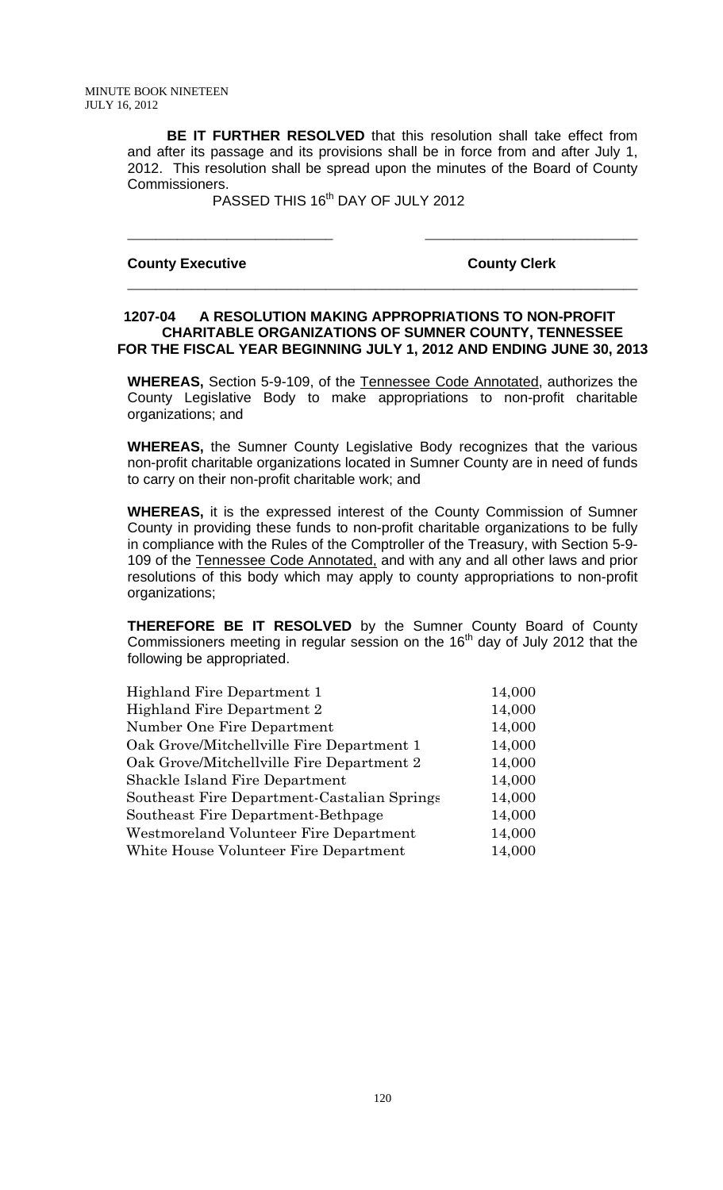**BE IT FURTHER RESOLVED** that this resolution shall take effect from and after its passage and its provisions shall be in force from and after July 1, 2012. This resolution shall be spread upon the minutes of the Board of County Commissioners.

\_\_\_\_\_\_\_\_\_\_\_\_\_\_\_\_\_\_\_\_\_\_\_\_\_\_\_\_\_ \_\_\_\_\_\_\_\_\_\_\_\_\_\_\_\_\_\_\_\_\_\_\_\_\_\_\_\_\_\_

\_\_\_\_\_\_\_\_\_\_\_\_\_\_\_\_\_\_\_\_\_\_\_\_\_\_\_\_\_\_\_\_\_\_\_\_\_\_\_\_\_\_\_\_\_\_\_\_\_\_\_\_\_\_\_\_\_\_\_\_\_\_\_\_\_\_\_\_\_\_\_\_

PASSED THIS 16<sup>th</sup> DAY OF JULY 2012

#### **County Executive County Clerk**

#### **1207-04 A RESOLUTION MAKING APPROPRIATIONS TO NON-PROFIT CHARITABLE ORGANIZATIONS OF SUMNER COUNTY, TENNESSEE FOR THE FISCAL YEAR BEGINNING JULY 1, 2012 AND ENDING JUNE 30, 2013**

**WHEREAS,** Section 5-9-109, of the Tennessee Code Annotated, authorizes the County Legislative Body to make appropriations to non-profit charitable organizations; and

**WHEREAS,** the Sumner County Legislative Body recognizes that the various non-profit charitable organizations located in Sumner County are in need of funds to carry on their non-profit charitable work; and

**WHEREAS,** it is the expressed interest of the County Commission of Sumner County in providing these funds to non-profit charitable organizations to be fully in compliance with the Rules of the Comptroller of the Treasury, with Section 5-9- 109 of the Tennessee Code Annotated, and with any and all other laws and prior resolutions of this body which may apply to county appropriations to non-profit organizations;

**THEREFORE BE IT RESOLVED** by the Sumner County Board of County Commissioners meeting in regular session on the 16<sup>th</sup> day of July 2012 that the following be appropriated.

| Highland Fire Department 1                  | 14,000 |
|---------------------------------------------|--------|
| Highland Fire Department 2                  | 14,000 |
| Number One Fire Department                  | 14,000 |
| Oak Grove/Mitchellville Fire Department 1   | 14,000 |
| Oak Grove/Mitchellville Fire Department 2   | 14,000 |
| <b>Shackle Island Fire Department</b>       | 14,000 |
| Southeast Fire Department-Castalian Springs | 14,000 |
| Southeast Fire Department-Bethpage          | 14,000 |
| Westmoreland Volunteer Fire Department      | 14,000 |
| White House Volunteer Fire Department       | 14,000 |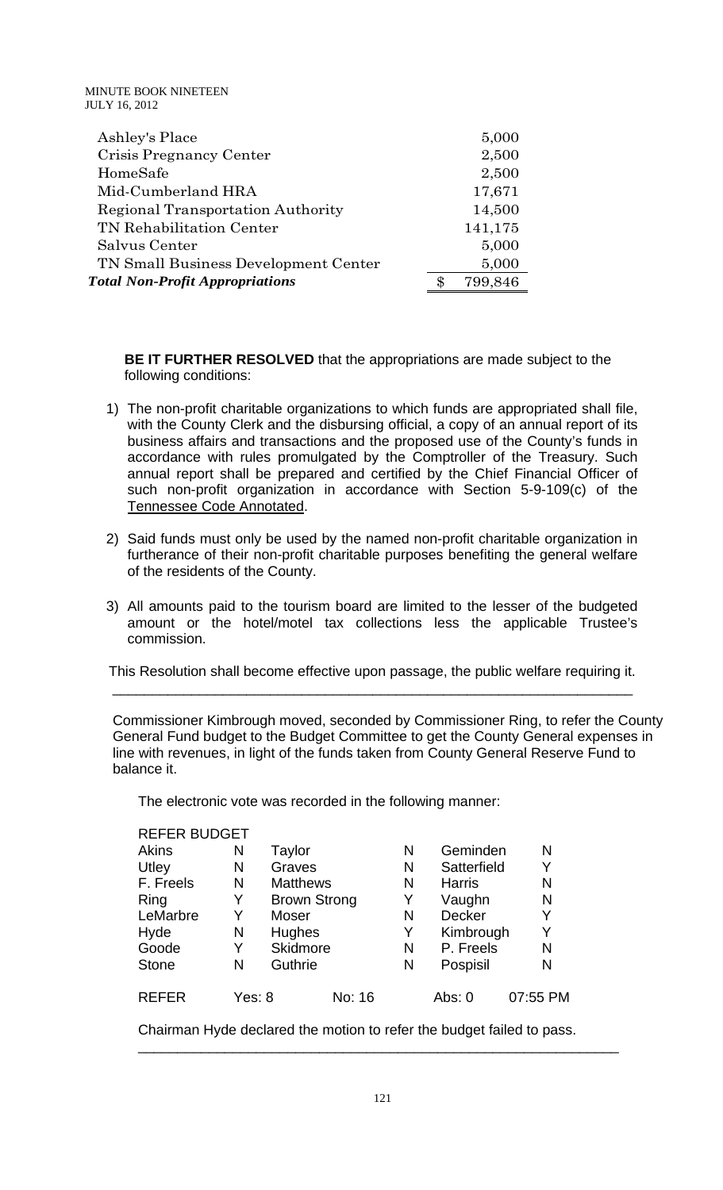| Ashley's Place                           | 5,000         |
|------------------------------------------|---------------|
| Crisis Pregnancy Center                  | 2,500         |
| HomeSafe                                 | 2,500         |
| Mid-Cumberland HRA                       | 17,671        |
| <b>Regional Transportation Authority</b> | 14,500        |
| TN Rehabilitation Center                 | 141,175       |
| Salvus Center                            | 5,000         |
| TN Small Business Development Center     | 5,000         |
| <b>Total Non-Profit Appropriations</b>   | \$<br>799,846 |

 **BE IT FURTHER RESOLVED** that the appropriations are made subject to the following conditions:

- 1) The non-profit charitable organizations to which funds are appropriated shall file, with the County Clerk and the disbursing official, a copy of an annual report of its business affairs and transactions and the proposed use of the County's funds in accordance with rules promulgated by the Comptroller of the Treasury. Such annual report shall be prepared and certified by the Chief Financial Officer of such non-profit organization in accordance with Section 5-9-109(c) of the Tennessee Code Annotated.
- 2) Said funds must only be used by the named non-profit charitable organization in furtherance of their non-profit charitable purposes benefiting the general welfare of the residents of the County.
- 3) All amounts paid to the tourism board are limited to the lesser of the budgeted amount or the hotel/motel tax collections less the applicable Trustee's commission.

This Resolution shall become effective upon passage, the public welfare requiring it.

 $\overline{\phantom{a}}$  , and the contribution of the contribution of the contribution of the contribution of the contribution of the contribution of the contribution of the contribution of the contribution of the contribution of the

 Commissioner Kimbrough moved, seconded by Commissioner Ring, to refer the County General Fund budget to the Budget Committee to get the County General expenses in line with revenues, in light of the funds taken from County General Reserve Fund to balance it.

The electronic vote was recorded in the following manner:

| <b>REFER BUDGET</b> |        |                 |                     |   |               |          |
|---------------------|--------|-----------------|---------------------|---|---------------|----------|
| Akins               | Ν      | Taylor          |                     | N | Geminden      | N        |
| Utley               | N      | Graves          |                     | N | Satterfield   | Y        |
| F. Freels           | N      | <b>Matthews</b> |                     | N | <b>Harris</b> | N        |
| Ring                | Y      |                 | <b>Brown Strong</b> | Y | Vaughn        | N        |
| LeMarbre            | Y      | Moser           |                     | N | Decker        | Y        |
| Hyde                | N      | Hughes          |                     | Y | Kimbrough     | Y        |
| Goode               | Y      | Skidmore        |                     | N | P. Freels     | N        |
| <b>Stone</b>        | N      | Guthrie         |                     | N | Pospisil      | N        |
| <b>REFER</b>        | Yes: 8 |                 | No: 16              |   | Abs: 0        | 07:55 PM |

Chairman Hyde declared the motion to refer the budget failed to pass.

\_\_\_\_\_\_\_\_\_\_\_\_\_\_\_\_\_\_\_\_\_\_\_\_\_\_\_\_\_\_\_\_\_\_\_\_\_\_\_\_\_\_\_\_\_\_\_\_\_\_\_\_\_\_\_\_\_\_\_\_\_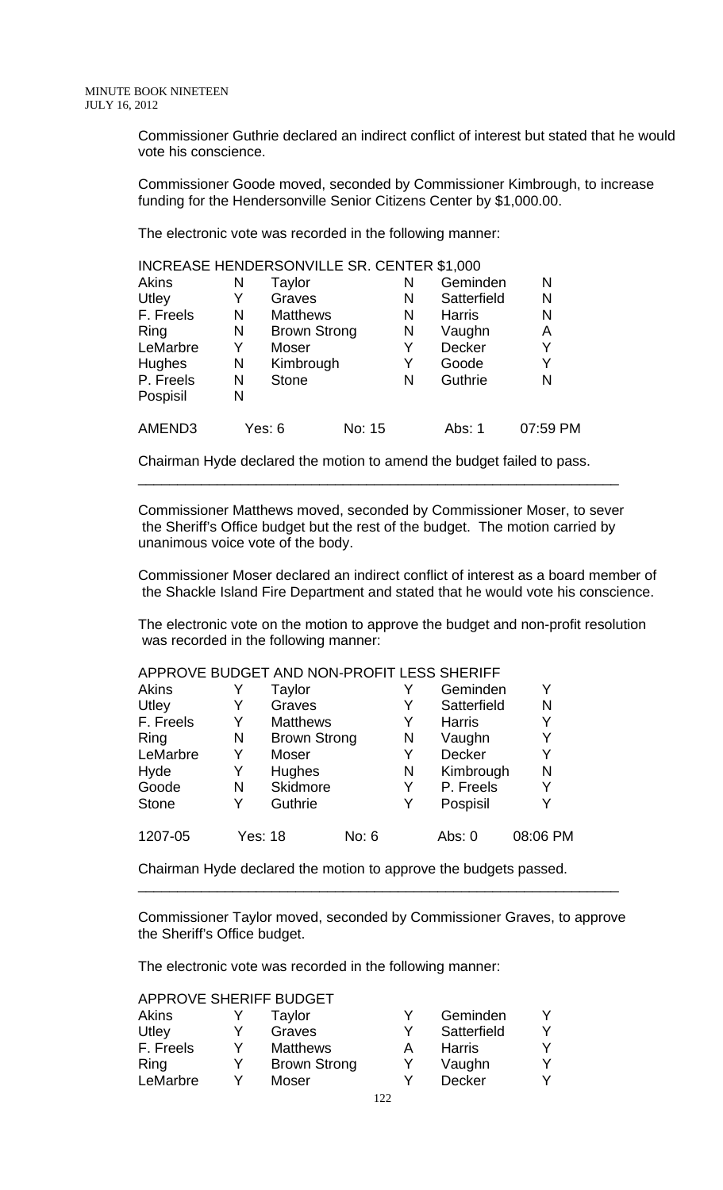Commissioner Guthrie declared an indirect conflict of interest but stated that he would vote his conscience.

Commissioner Goode moved, seconded by Commissioner Kimbrough, to increase funding for the Hendersonville Senior Citizens Center by \$1,000.00.

The electronic vote was recorded in the following manner:

| INCREASE HENDERSONVILLE SR. CENTER \$1,000 |   |                     |        |   |               |          |
|--------------------------------------------|---|---------------------|--------|---|---------------|----------|
| Akins                                      | N | Taylor              |        | N | Geminden      | N        |
| Utley                                      | Y | Graves              |        | N | Satterfield   | N        |
| F. Freels                                  | N | <b>Matthews</b>     |        | N | <b>Harris</b> | N        |
| Ring                                       | N | <b>Brown Strong</b> |        | N | Vaughn        | Α        |
| LeMarbre                                   | Y | <b>Moser</b>        |        | Y | Decker        | Y        |
| Hughes                                     | N | Kimbrough           |        | Y | Goode         | Y        |
| P. Freels                                  | N | <b>Stone</b>        |        | N | Guthrie       | N        |
| Pospisil                                   | N |                     |        |   |               |          |
| AMEND3                                     |   | Yes: 6              | No: 15 |   | Abs: 1        | 07:59 PM |

Chairman Hyde declared the motion to amend the budget failed to pass.

Commissioner Matthews moved, seconded by Commissioner Moser, to sever the Sheriff's Office budget but the rest of the budget. The motion carried by unanimous voice vote of the body.

\_\_\_\_\_\_\_\_\_\_\_\_\_\_\_\_\_\_\_\_\_\_\_\_\_\_\_\_\_\_\_\_\_\_\_\_\_\_\_\_\_\_\_\_\_\_\_\_\_\_\_\_\_\_\_\_\_\_\_\_\_

Commissioner Moser declared an indirect conflict of interest as a board member of the Shackle Island Fire Department and stated that he would vote his conscience.

The electronic vote on the motion to approve the budget and non-profit resolution was recorded in the following manner:

| APPROVE BUDGET AND NON-PROFIT LESS SHERIFF |                |                     |       |   |               |          |
|--------------------------------------------|----------------|---------------------|-------|---|---------------|----------|
| Akins                                      |                | Taylor              |       |   | Geminden      | Y        |
| Utley                                      | Y              | Graves              |       | Y | Satterfield   | N        |
| F. Freels                                  | Y              | <b>Matthews</b>     |       | Y | <b>Harris</b> | Y        |
| Ring                                       | N              | <b>Brown Strong</b> |       | N | Vaughn        | Y        |
| LeMarbre                                   | Y              | Moser               |       | Y | <b>Decker</b> | Y        |
| Hyde                                       | Y              | <b>Hughes</b>       |       | N | Kimbrough     | N        |
| Goode                                      | N              | Skidmore            |       | Y | P. Freels     | Y        |
| <b>Stone</b>                               | Y              | Guthrie             |       | Y | Pospisil      | Y        |
| 1207-05                                    | <b>Yes: 18</b> |                     | No: 6 |   | Abs: 0        | 08:06 PM |

Chairman Hyde declared the motion to approve the budgets passed.

Commissioner Taylor moved, seconded by Commissioner Graves, to approve the Sheriff's Office budget.

\_\_\_\_\_\_\_\_\_\_\_\_\_\_\_\_\_\_\_\_\_\_\_\_\_\_\_\_\_\_\_\_\_\_\_\_\_\_\_\_\_\_\_\_\_\_\_\_\_\_\_\_\_\_\_\_\_\_\_\_\_

The electronic vote was recorded in the following manner:

APPROVE SHERIFF BUDGET

| <b>Akins</b> |   | Taylor              | Geminden      |  |
|--------------|---|---------------------|---------------|--|
| Utley        | v | Graves              | Satterfield   |  |
| F. Freels    | v | <b>Matthews</b>     | Harris        |  |
| Ring         | Y | <b>Brown Strong</b> | Vaughn        |  |
| LeMarbre     |   | Moser               | <b>Decker</b> |  |